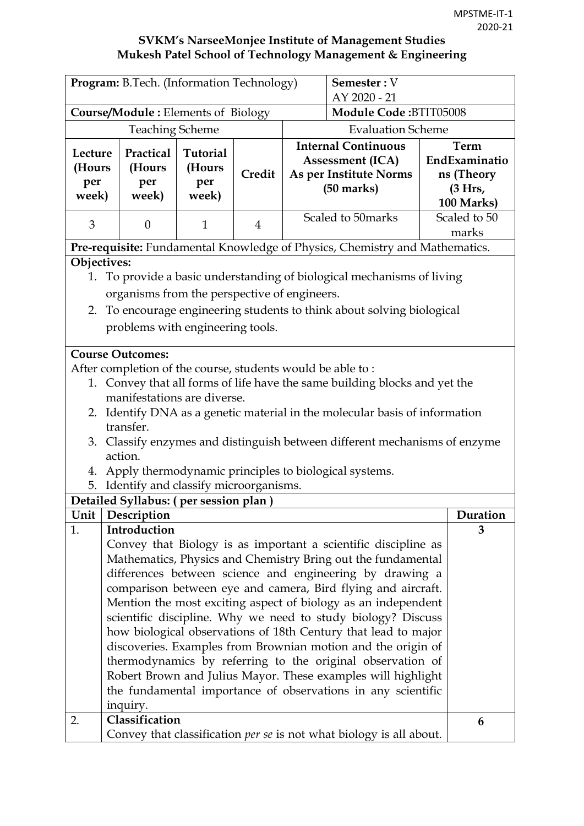| Program: B.Tech. (Information Technology)<br>Semester: V<br>AY 2020 - 21 |                                                                                                                                |                 |                |                                                                   |                                                                                                                               |  |               |
|--------------------------------------------------------------------------|--------------------------------------------------------------------------------------------------------------------------------|-----------------|----------------|-------------------------------------------------------------------|-------------------------------------------------------------------------------------------------------------------------------|--|---------------|
|                                                                          | <b>Course/Module: Elements of Biology</b>                                                                                      |                 |                |                                                                   | <b>Module Code:BTIT05008</b>                                                                                                  |  |               |
|                                                                          | <b>Teaching Scheme</b>                                                                                                         |                 |                |                                                                   | <b>Evaluation Scheme</b>                                                                                                      |  |               |
|                                                                          |                                                                                                                                |                 |                |                                                                   | <b>Internal Continuous</b>                                                                                                    |  | <b>Term</b>   |
| Lecture                                                                  | Practical                                                                                                                      | <b>Tutorial</b> |                | <b>Assessment (ICA)</b><br>As per Institute Norms<br>$(50$ marks) |                                                                                                                               |  | EndExaminatio |
| (Hours                                                                   | (Hours                                                                                                                         | (Hours          | Credit         |                                                                   |                                                                                                                               |  | ns (Theory    |
| per<br>week)                                                             | per<br>week)                                                                                                                   | per<br>week)    |                |                                                                   |                                                                                                                               |  | (3 Hrs,       |
|                                                                          |                                                                                                                                |                 |                |                                                                   |                                                                                                                               |  | 100 Marks)    |
| 3                                                                        | $\theta$                                                                                                                       | $\mathbf{1}$    | $\overline{4}$ |                                                                   | Scaled to 50 marks                                                                                                            |  | Scaled to 50  |
|                                                                          |                                                                                                                                |                 |                |                                                                   |                                                                                                                               |  | marks         |
|                                                                          | Pre-requisite: Fundamental Knowledge of Physics, Chemistry and Mathematics.                                                    |                 |                |                                                                   |                                                                                                                               |  |               |
| Objectives:                                                              |                                                                                                                                |                 |                |                                                                   |                                                                                                                               |  |               |
| 1.                                                                       |                                                                                                                                |                 |                |                                                                   | To provide a basic understanding of biological mechanisms of living                                                           |  |               |
|                                                                          | organisms from the perspective of engineers.                                                                                   |                 |                |                                                                   |                                                                                                                               |  |               |
| 2. To encourage engineering students to think about solving biological   |                                                                                                                                |                 |                |                                                                   |                                                                                                                               |  |               |
|                                                                          | problems with engineering tools.                                                                                               |                 |                |                                                                   |                                                                                                                               |  |               |
|                                                                          | <b>Course Outcomes:</b>                                                                                                        |                 |                |                                                                   |                                                                                                                               |  |               |
|                                                                          | After completion of the course, students would be able to:                                                                     |                 |                |                                                                   |                                                                                                                               |  |               |
|                                                                          |                                                                                                                                |                 |                |                                                                   | 1. Convey that all forms of life have the same building blocks and yet the                                                    |  |               |
|                                                                          | manifestations are diverse.                                                                                                    |                 |                |                                                                   |                                                                                                                               |  |               |
|                                                                          |                                                                                                                                |                 |                |                                                                   | 2. Identify DNA as a genetic material in the molecular basis of information                                                   |  |               |
|                                                                          | transfer.                                                                                                                      |                 |                |                                                                   |                                                                                                                               |  |               |
|                                                                          |                                                                                                                                |                 |                |                                                                   | 3. Classify enzymes and distinguish between different mechanisms of enzyme                                                    |  |               |
|                                                                          | action.                                                                                                                        |                 |                |                                                                   |                                                                                                                               |  |               |
|                                                                          |                                                                                                                                |                 |                |                                                                   | 4. Apply thermodynamic principles to biological systems.                                                                      |  |               |
| 5.                                                                       | Identify and classify microorganisms.                                                                                          |                 |                |                                                                   |                                                                                                                               |  |               |
|                                                                          | Detailed Syllabus: (per session plan)                                                                                          |                 |                |                                                                   |                                                                                                                               |  |               |
|                                                                          | Unit   Description                                                                                                             |                 |                |                                                                   |                                                                                                                               |  | Duration      |
| 1.                                                                       | Introduction                                                                                                                   |                 |                |                                                                   |                                                                                                                               |  | 3             |
|                                                                          |                                                                                                                                |                 |                |                                                                   | Convey that Biology is as important a scientific discipline as                                                                |  |               |
|                                                                          |                                                                                                                                |                 |                |                                                                   | Mathematics, Physics and Chemistry Bring out the fundamental                                                                  |  |               |
|                                                                          |                                                                                                                                |                 |                |                                                                   | differences between science and engineering by drawing a                                                                      |  |               |
|                                                                          |                                                                                                                                |                 |                |                                                                   | comparison between eye and camera, Bird flying and aircraft.<br>Mention the most exciting aspect of biology as an independent |  |               |
|                                                                          |                                                                                                                                |                 |                |                                                                   |                                                                                                                               |  |               |
|                                                                          | scientific discipline. Why we need to study biology? Discuss<br>how biological observations of 18th Century that lead to major |                 |                |                                                                   |                                                                                                                               |  |               |
|                                                                          | discoveries. Examples from Brownian motion and the origin of                                                                   |                 |                |                                                                   |                                                                                                                               |  |               |
|                                                                          |                                                                                                                                |                 |                |                                                                   | thermodynamics by referring to the original observation of                                                                    |  |               |
|                                                                          |                                                                                                                                |                 |                |                                                                   | Robert Brown and Julius Mayor. These examples will highlight                                                                  |  |               |
|                                                                          |                                                                                                                                |                 |                |                                                                   | the fundamental importance of observations in any scientific                                                                  |  |               |
|                                                                          | inquiry.                                                                                                                       |                 |                |                                                                   |                                                                                                                               |  |               |
| 2.                                                                       | Classification                                                                                                                 |                 |                |                                                                   |                                                                                                                               |  | 6             |
|                                                                          |                                                                                                                                |                 |                |                                                                   | Convey that classification <i>per se</i> is not what biology is all about.                                                    |  |               |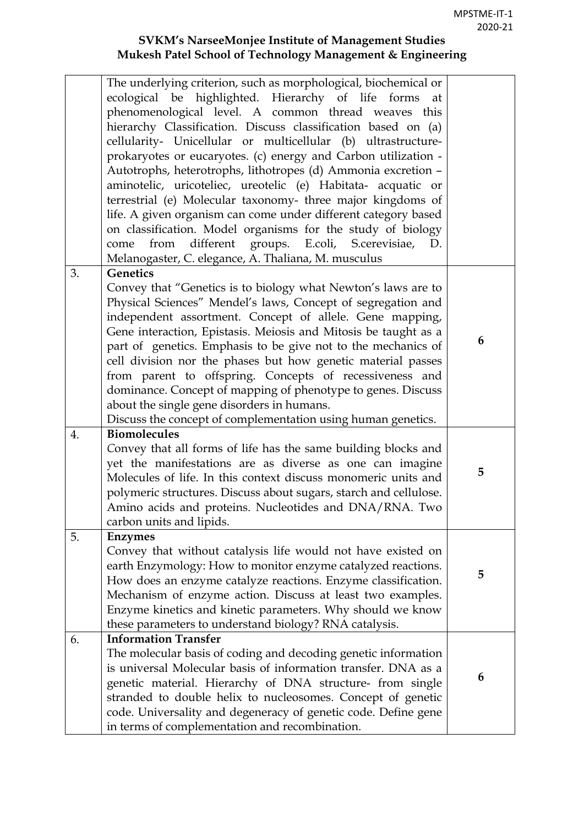|    | The underlying criterion, such as morphological, biochemical or                                                               |   |
|----|-------------------------------------------------------------------------------------------------------------------------------|---|
|    | ecological be highlighted. Hierarchy of life forms<br>at                                                                      |   |
|    | phenomenological level. A common thread weaves this                                                                           |   |
|    | hierarchy Classification. Discuss classification based on (a)                                                                 |   |
|    | cellularity- Unicellular or multicellular (b) ultrastructure-                                                                 |   |
|    | prokaryotes or eucaryotes. (c) energy and Carbon utilization -                                                                |   |
|    | Autotrophs, heterotrophs, lithotropes (d) Ammonia excretion -                                                                 |   |
|    | aminotelic, uricoteliec, ureotelic (e) Habitata- acquatic or                                                                  |   |
|    | terrestrial (e) Molecular taxonomy- three major kingdoms of                                                                   |   |
|    | life. A given organism can come under different category based                                                                |   |
|    | on classification. Model organisms for the study of biology                                                                   |   |
|    | from different groups. E.coli, S.cerevisiae,<br>come<br>D.                                                                    |   |
| 3. | Melanogaster, C. elegance, A. Thaliana, M. musculus<br><b>Genetics</b>                                                        |   |
|    |                                                                                                                               |   |
|    | Convey that "Genetics is to biology what Newton's laws are to<br>Physical Sciences" Mendel's laws, Concept of segregation and |   |
|    | independent assortment. Concept of allele. Gene mapping,                                                                      |   |
|    | Gene interaction, Epistasis. Meiosis and Mitosis be taught as a                                                               |   |
|    | part of genetics. Emphasis to be give not to the mechanics of                                                                 | 6 |
|    | cell division nor the phases but how genetic material passes                                                                  |   |
|    | from parent to offspring. Concepts of recessiveness and                                                                       |   |
|    | dominance. Concept of mapping of phenotype to genes. Discuss                                                                  |   |
|    | about the single gene disorders in humans.                                                                                    |   |
|    | Discuss the concept of complementation using human genetics.                                                                  |   |
| 4. | <b>Biomolecules</b>                                                                                                           |   |
|    | Convey that all forms of life has the same building blocks and                                                                |   |
|    | yet the manifestations are as diverse as one can imagine                                                                      |   |
|    | Molecules of life. In this context discuss monomeric units and                                                                | 5 |
|    | polymeric structures. Discuss about sugars, starch and cellulose.                                                             |   |
|    | Amino acids and proteins. Nucleotides and DNA/RNA. Two                                                                        |   |
|    | carbon units and lipids.                                                                                                      |   |
| 5. | <b>Enzymes</b>                                                                                                                |   |
|    | Convey that without catalysis life would not have existed on                                                                  |   |
|    | earth Enzymology: How to monitor enzyme catalyzed reactions.                                                                  | 5 |
|    | How does an enzyme catalyze reactions. Enzyme classification.                                                                 |   |
|    | Mechanism of enzyme action. Discuss at least two examples.                                                                    |   |
|    | Enzyme kinetics and kinetic parameters. Why should we know                                                                    |   |
|    | these parameters to understand biology? RNA catalysis.                                                                        |   |
| 6. | <b>Information Transfer</b>                                                                                                   |   |
|    | The molecular basis of coding and decoding genetic information                                                                |   |
|    | is universal Molecular basis of information transfer. DNA as a                                                                | 6 |
|    | genetic material. Hierarchy of DNA structure- from single                                                                     |   |
|    | stranded to double helix to nucleosomes. Concept of genetic                                                                   |   |
|    | code. Universality and degeneracy of genetic code. Define gene                                                                |   |
|    | in terms of complementation and recombination.                                                                                |   |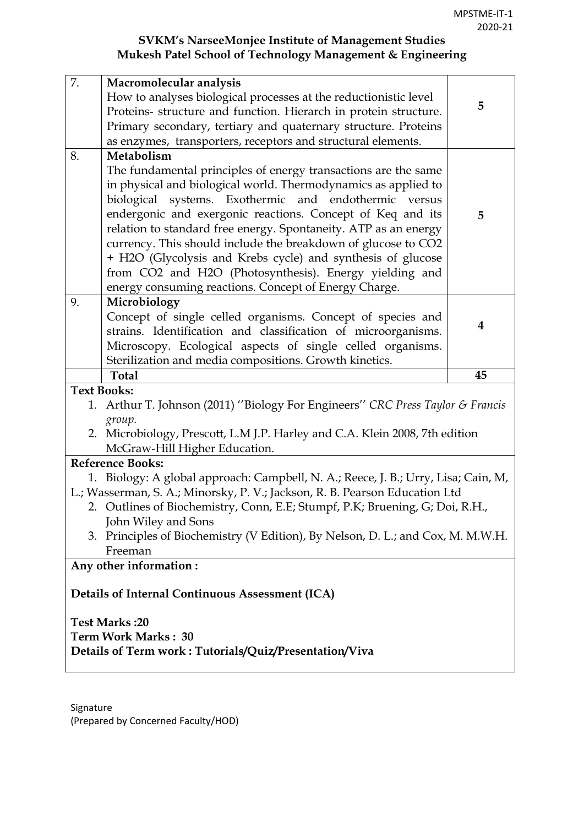| How to analyses biological processes at the reductionistic level<br>5<br>Proteins- structure and function. Hierarch in protein structure.<br>Primary secondary, tertiary and quaternary structure. Proteins<br>as enzymes, transporters, receptors and structural elements.<br>8.<br>Metabolism<br>The fundamental principles of energy transactions are the same<br>in physical and biological world. Thermodynamics as applied to<br>biological systems. Exothermic and endothermic versus<br>endergonic and exergonic reactions. Concept of Keq and its<br>5<br>relation to standard free energy. Spontaneity. ATP as an energy<br>currency. This should include the breakdown of glucose to CO2<br>+ H2O (Glycolysis and Krebs cycle) and synthesis of glucose<br>from CO2 and H2O (Photosynthesis). Energy yielding and<br>energy consuming reactions. Concept of Energy Charge.<br>Microbiology<br>9.<br>Concept of single celled organisms. Concept of species and<br>4<br>strains. Identification and classification of microorganisms.<br>Microscopy. Ecological aspects of single celled organisms.<br>Sterilization and media compositions. Growth kinetics.<br><b>Total</b><br>45<br><b>Text Books:</b><br>Arthur T. Johnson (2011) "Biology For Engineers" CRC Press Taylor & Francis<br>1.<br>group.<br>2. Microbiology, Prescott, L.M J.P. Harley and C.A. Klein 2008, 7th edition<br>McGraw-Hill Higher Education.<br><b>Reference Books:</b><br>1. Biology: A global approach: Campbell, N. A.; Reece, J. B.; Urry, Lisa; Cain, M,<br>L.; Wasserman, S. A.; Minorsky, P. V.; Jackson, R. B. Pearson Education Ltd<br>2. Outlines of Biochemistry, Conn, E.E; Stumpf, P.K; Bruening, G; Doi, R.H.,<br>John Wiley and Sons<br>3. Principles of Biochemistry (V Edition), By Nelson, D. L.; and Cox, M. M.W.H.<br>Freeman<br>Any other information:<br>Details of Internal Continuous Assessment (ICA)<br><b>Test Marks:20</b><br>Term Work Marks: 30<br>Details of Term work: Tutorials/Quiz/Presentation/Viva | 7. | Macromolecular analysis |  |  |  |  |  |  |
|-------------------------------------------------------------------------------------------------------------------------------------------------------------------------------------------------------------------------------------------------------------------------------------------------------------------------------------------------------------------------------------------------------------------------------------------------------------------------------------------------------------------------------------------------------------------------------------------------------------------------------------------------------------------------------------------------------------------------------------------------------------------------------------------------------------------------------------------------------------------------------------------------------------------------------------------------------------------------------------------------------------------------------------------------------------------------------------------------------------------------------------------------------------------------------------------------------------------------------------------------------------------------------------------------------------------------------------------------------------------------------------------------------------------------------------------------------------------------------------------------------------------------------------------------------------------------------------------------------------------------------------------------------------------------------------------------------------------------------------------------------------------------------------------------------------------------------------------------------------------------------------------------------------------------------------------------------------------------------------------------------------------------------|----|-------------------------|--|--|--|--|--|--|
|                                                                                                                                                                                                                                                                                                                                                                                                                                                                                                                                                                                                                                                                                                                                                                                                                                                                                                                                                                                                                                                                                                                                                                                                                                                                                                                                                                                                                                                                                                                                                                                                                                                                                                                                                                                                                                                                                                                                                                                                                               |    |                         |  |  |  |  |  |  |
|                                                                                                                                                                                                                                                                                                                                                                                                                                                                                                                                                                                                                                                                                                                                                                                                                                                                                                                                                                                                                                                                                                                                                                                                                                                                                                                                                                                                                                                                                                                                                                                                                                                                                                                                                                                                                                                                                                                                                                                                                               |    |                         |  |  |  |  |  |  |
|                                                                                                                                                                                                                                                                                                                                                                                                                                                                                                                                                                                                                                                                                                                                                                                                                                                                                                                                                                                                                                                                                                                                                                                                                                                                                                                                                                                                                                                                                                                                                                                                                                                                                                                                                                                                                                                                                                                                                                                                                               |    |                         |  |  |  |  |  |  |
|                                                                                                                                                                                                                                                                                                                                                                                                                                                                                                                                                                                                                                                                                                                                                                                                                                                                                                                                                                                                                                                                                                                                                                                                                                                                                                                                                                                                                                                                                                                                                                                                                                                                                                                                                                                                                                                                                                                                                                                                                               |    |                         |  |  |  |  |  |  |
|                                                                                                                                                                                                                                                                                                                                                                                                                                                                                                                                                                                                                                                                                                                                                                                                                                                                                                                                                                                                                                                                                                                                                                                                                                                                                                                                                                                                                                                                                                                                                                                                                                                                                                                                                                                                                                                                                                                                                                                                                               |    |                         |  |  |  |  |  |  |
|                                                                                                                                                                                                                                                                                                                                                                                                                                                                                                                                                                                                                                                                                                                                                                                                                                                                                                                                                                                                                                                                                                                                                                                                                                                                                                                                                                                                                                                                                                                                                                                                                                                                                                                                                                                                                                                                                                                                                                                                                               |    |                         |  |  |  |  |  |  |
|                                                                                                                                                                                                                                                                                                                                                                                                                                                                                                                                                                                                                                                                                                                                                                                                                                                                                                                                                                                                                                                                                                                                                                                                                                                                                                                                                                                                                                                                                                                                                                                                                                                                                                                                                                                                                                                                                                                                                                                                                               |    |                         |  |  |  |  |  |  |
|                                                                                                                                                                                                                                                                                                                                                                                                                                                                                                                                                                                                                                                                                                                                                                                                                                                                                                                                                                                                                                                                                                                                                                                                                                                                                                                                                                                                                                                                                                                                                                                                                                                                                                                                                                                                                                                                                                                                                                                                                               |    |                         |  |  |  |  |  |  |
|                                                                                                                                                                                                                                                                                                                                                                                                                                                                                                                                                                                                                                                                                                                                                                                                                                                                                                                                                                                                                                                                                                                                                                                                                                                                                                                                                                                                                                                                                                                                                                                                                                                                                                                                                                                                                                                                                                                                                                                                                               |    |                         |  |  |  |  |  |  |
|                                                                                                                                                                                                                                                                                                                                                                                                                                                                                                                                                                                                                                                                                                                                                                                                                                                                                                                                                                                                                                                                                                                                                                                                                                                                                                                                                                                                                                                                                                                                                                                                                                                                                                                                                                                                                                                                                                                                                                                                                               |    |                         |  |  |  |  |  |  |
|                                                                                                                                                                                                                                                                                                                                                                                                                                                                                                                                                                                                                                                                                                                                                                                                                                                                                                                                                                                                                                                                                                                                                                                                                                                                                                                                                                                                                                                                                                                                                                                                                                                                                                                                                                                                                                                                                                                                                                                                                               |    |                         |  |  |  |  |  |  |
|                                                                                                                                                                                                                                                                                                                                                                                                                                                                                                                                                                                                                                                                                                                                                                                                                                                                                                                                                                                                                                                                                                                                                                                                                                                                                                                                                                                                                                                                                                                                                                                                                                                                                                                                                                                                                                                                                                                                                                                                                               |    |                         |  |  |  |  |  |  |
|                                                                                                                                                                                                                                                                                                                                                                                                                                                                                                                                                                                                                                                                                                                                                                                                                                                                                                                                                                                                                                                                                                                                                                                                                                                                                                                                                                                                                                                                                                                                                                                                                                                                                                                                                                                                                                                                                                                                                                                                                               |    |                         |  |  |  |  |  |  |
|                                                                                                                                                                                                                                                                                                                                                                                                                                                                                                                                                                                                                                                                                                                                                                                                                                                                                                                                                                                                                                                                                                                                                                                                                                                                                                                                                                                                                                                                                                                                                                                                                                                                                                                                                                                                                                                                                                                                                                                                                               |    |                         |  |  |  |  |  |  |
|                                                                                                                                                                                                                                                                                                                                                                                                                                                                                                                                                                                                                                                                                                                                                                                                                                                                                                                                                                                                                                                                                                                                                                                                                                                                                                                                                                                                                                                                                                                                                                                                                                                                                                                                                                                                                                                                                                                                                                                                                               |    |                         |  |  |  |  |  |  |
|                                                                                                                                                                                                                                                                                                                                                                                                                                                                                                                                                                                                                                                                                                                                                                                                                                                                                                                                                                                                                                                                                                                                                                                                                                                                                                                                                                                                                                                                                                                                                                                                                                                                                                                                                                                                                                                                                                                                                                                                                               |    |                         |  |  |  |  |  |  |
|                                                                                                                                                                                                                                                                                                                                                                                                                                                                                                                                                                                                                                                                                                                                                                                                                                                                                                                                                                                                                                                                                                                                                                                                                                                                                                                                                                                                                                                                                                                                                                                                                                                                                                                                                                                                                                                                                                                                                                                                                               |    |                         |  |  |  |  |  |  |
|                                                                                                                                                                                                                                                                                                                                                                                                                                                                                                                                                                                                                                                                                                                                                                                                                                                                                                                                                                                                                                                                                                                                                                                                                                                                                                                                                                                                                                                                                                                                                                                                                                                                                                                                                                                                                                                                                                                                                                                                                               |    |                         |  |  |  |  |  |  |
|                                                                                                                                                                                                                                                                                                                                                                                                                                                                                                                                                                                                                                                                                                                                                                                                                                                                                                                                                                                                                                                                                                                                                                                                                                                                                                                                                                                                                                                                                                                                                                                                                                                                                                                                                                                                                                                                                                                                                                                                                               |    |                         |  |  |  |  |  |  |
|                                                                                                                                                                                                                                                                                                                                                                                                                                                                                                                                                                                                                                                                                                                                                                                                                                                                                                                                                                                                                                                                                                                                                                                                                                                                                                                                                                                                                                                                                                                                                                                                                                                                                                                                                                                                                                                                                                                                                                                                                               |    |                         |  |  |  |  |  |  |
|                                                                                                                                                                                                                                                                                                                                                                                                                                                                                                                                                                                                                                                                                                                                                                                                                                                                                                                                                                                                                                                                                                                                                                                                                                                                                                                                                                                                                                                                                                                                                                                                                                                                                                                                                                                                                                                                                                                                                                                                                               |    |                         |  |  |  |  |  |  |
|                                                                                                                                                                                                                                                                                                                                                                                                                                                                                                                                                                                                                                                                                                                                                                                                                                                                                                                                                                                                                                                                                                                                                                                                                                                                                                                                                                                                                                                                                                                                                                                                                                                                                                                                                                                                                                                                                                                                                                                                                               |    |                         |  |  |  |  |  |  |
|                                                                                                                                                                                                                                                                                                                                                                                                                                                                                                                                                                                                                                                                                                                                                                                                                                                                                                                                                                                                                                                                                                                                                                                                                                                                                                                                                                                                                                                                                                                                                                                                                                                                                                                                                                                                                                                                                                                                                                                                                               |    |                         |  |  |  |  |  |  |
|                                                                                                                                                                                                                                                                                                                                                                                                                                                                                                                                                                                                                                                                                                                                                                                                                                                                                                                                                                                                                                                                                                                                                                                                                                                                                                                                                                                                                                                                                                                                                                                                                                                                                                                                                                                                                                                                                                                                                                                                                               |    |                         |  |  |  |  |  |  |
|                                                                                                                                                                                                                                                                                                                                                                                                                                                                                                                                                                                                                                                                                                                                                                                                                                                                                                                                                                                                                                                                                                                                                                                                                                                                                                                                                                                                                                                                                                                                                                                                                                                                                                                                                                                                                                                                                                                                                                                                                               |    |                         |  |  |  |  |  |  |
|                                                                                                                                                                                                                                                                                                                                                                                                                                                                                                                                                                                                                                                                                                                                                                                                                                                                                                                                                                                                                                                                                                                                                                                                                                                                                                                                                                                                                                                                                                                                                                                                                                                                                                                                                                                                                                                                                                                                                                                                                               |    |                         |  |  |  |  |  |  |
|                                                                                                                                                                                                                                                                                                                                                                                                                                                                                                                                                                                                                                                                                                                                                                                                                                                                                                                                                                                                                                                                                                                                                                                                                                                                                                                                                                                                                                                                                                                                                                                                                                                                                                                                                                                                                                                                                                                                                                                                                               |    |                         |  |  |  |  |  |  |
|                                                                                                                                                                                                                                                                                                                                                                                                                                                                                                                                                                                                                                                                                                                                                                                                                                                                                                                                                                                                                                                                                                                                                                                                                                                                                                                                                                                                                                                                                                                                                                                                                                                                                                                                                                                                                                                                                                                                                                                                                               |    |                         |  |  |  |  |  |  |
|                                                                                                                                                                                                                                                                                                                                                                                                                                                                                                                                                                                                                                                                                                                                                                                                                                                                                                                                                                                                                                                                                                                                                                                                                                                                                                                                                                                                                                                                                                                                                                                                                                                                                                                                                                                                                                                                                                                                                                                                                               |    |                         |  |  |  |  |  |  |
|                                                                                                                                                                                                                                                                                                                                                                                                                                                                                                                                                                                                                                                                                                                                                                                                                                                                                                                                                                                                                                                                                                                                                                                                                                                                                                                                                                                                                                                                                                                                                                                                                                                                                                                                                                                                                                                                                                                                                                                                                               |    |                         |  |  |  |  |  |  |
|                                                                                                                                                                                                                                                                                                                                                                                                                                                                                                                                                                                                                                                                                                                                                                                                                                                                                                                                                                                                                                                                                                                                                                                                                                                                                                                                                                                                                                                                                                                                                                                                                                                                                                                                                                                                                                                                                                                                                                                                                               |    |                         |  |  |  |  |  |  |
|                                                                                                                                                                                                                                                                                                                                                                                                                                                                                                                                                                                                                                                                                                                                                                                                                                                                                                                                                                                                                                                                                                                                                                                                                                                                                                                                                                                                                                                                                                                                                                                                                                                                                                                                                                                                                                                                                                                                                                                                                               |    |                         |  |  |  |  |  |  |
|                                                                                                                                                                                                                                                                                                                                                                                                                                                                                                                                                                                                                                                                                                                                                                                                                                                                                                                                                                                                                                                                                                                                                                                                                                                                                                                                                                                                                                                                                                                                                                                                                                                                                                                                                                                                                                                                                                                                                                                                                               |    |                         |  |  |  |  |  |  |
|                                                                                                                                                                                                                                                                                                                                                                                                                                                                                                                                                                                                                                                                                                                                                                                                                                                                                                                                                                                                                                                                                                                                                                                                                                                                                                                                                                                                                                                                                                                                                                                                                                                                                                                                                                                                                                                                                                                                                                                                                               |    |                         |  |  |  |  |  |  |
|                                                                                                                                                                                                                                                                                                                                                                                                                                                                                                                                                                                                                                                                                                                                                                                                                                                                                                                                                                                                                                                                                                                                                                                                                                                                                                                                                                                                                                                                                                                                                                                                                                                                                                                                                                                                                                                                                                                                                                                                                               |    |                         |  |  |  |  |  |  |
|                                                                                                                                                                                                                                                                                                                                                                                                                                                                                                                                                                                                                                                                                                                                                                                                                                                                                                                                                                                                                                                                                                                                                                                                                                                                                                                                                                                                                                                                                                                                                                                                                                                                                                                                                                                                                                                                                                                                                                                                                               |    |                         |  |  |  |  |  |  |
|                                                                                                                                                                                                                                                                                                                                                                                                                                                                                                                                                                                                                                                                                                                                                                                                                                                                                                                                                                                                                                                                                                                                                                                                                                                                                                                                                                                                                                                                                                                                                                                                                                                                                                                                                                                                                                                                                                                                                                                                                               |    |                         |  |  |  |  |  |  |
|                                                                                                                                                                                                                                                                                                                                                                                                                                                                                                                                                                                                                                                                                                                                                                                                                                                                                                                                                                                                                                                                                                                                                                                                                                                                                                                                                                                                                                                                                                                                                                                                                                                                                                                                                                                                                                                                                                                                                                                                                               |    |                         |  |  |  |  |  |  |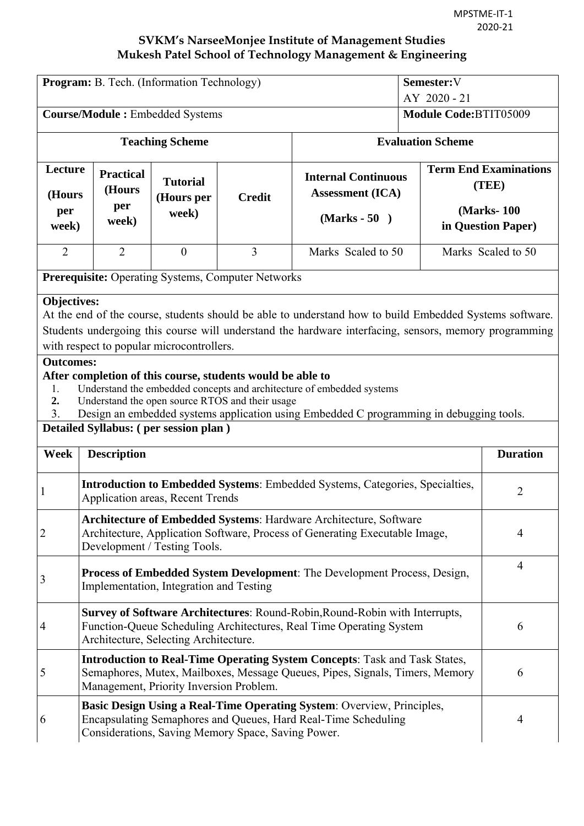| <b>Program:</b> B. Tech. (Information Technology) |                                                                                                                                                                                                                   |                                                                                                                                                        |                |                                                                                                                                                                                                                  | Semester:V<br>AY 2020 - 21                                                                                                          |                    |
|---------------------------------------------------|-------------------------------------------------------------------------------------------------------------------------------------------------------------------------------------------------------------------|--------------------------------------------------------------------------------------------------------------------------------------------------------|----------------|------------------------------------------------------------------------------------------------------------------------------------------------------------------------------------------------------------------|-------------------------------------------------------------------------------------------------------------------------------------|--------------------|
|                                                   | <b>Course/Module:</b> Embedded Systems                                                                                                                                                                            |                                                                                                                                                        |                | Module Code:BTIT05009                                                                                                                                                                                            |                                                                                                                                     |                    |
|                                                   |                                                                                                                                                                                                                   | <b>Teaching Scheme</b>                                                                                                                                 |                | <b>Evaluation Scheme</b>                                                                                                                                                                                         |                                                                                                                                     |                    |
| Lecture<br>(Hours<br>per<br>week)                 | <b>Practical</b><br>(Hours<br>per<br>week)                                                                                                                                                                        | <b>Tutorial</b><br>(Hours per<br>week)                                                                                                                 | <b>Credit</b>  | $(Marks - 50)$                                                                                                                                                                                                   | <b>Term End Examinations</b><br><b>Internal Continuous</b><br>(TEE)<br><b>Assessment (ICA)</b><br>(Marks-100)<br>in Question Paper) |                    |
| $\overline{2}$                                    | $\overline{2}$                                                                                                                                                                                                    | $\overline{0}$                                                                                                                                         | $\overline{3}$ | Marks Scaled to 50                                                                                                                                                                                               |                                                                                                                                     | Marks Scaled to 50 |
|                                                   |                                                                                                                                                                                                                   | <b>Prerequisite:</b> Operating Systems, Computer Networks                                                                                              |                |                                                                                                                                                                                                                  |                                                                                                                                     |                    |
| Objectives:                                       |                                                                                                                                                                                                                   | with respect to popular microcontrollers.                                                                                                              |                | At the end of the course, students should be able to understand how to build Embedded Systems software.<br>Students undergoing this course will understand the hardware interfacing, sensors, memory programming |                                                                                                                                     |                    |
| <b>Outcomes:</b><br>1.<br>2.<br>3.                |                                                                                                                                                                                                                   | After completion of this course, students would be able to<br>Understand the open source RTOS and their usage<br>Detailed Syllabus: (per session plan) |                | Understand the embedded concepts and architecture of embedded systems<br>Design an embedded systems application using Embedded C programming in debugging tools.                                                 |                                                                                                                                     |                    |
| Week                                              | <b>Description</b>                                                                                                                                                                                                |                                                                                                                                                        |                |                                                                                                                                                                                                                  |                                                                                                                                     | <b>Duration</b>    |
|                                                   | <b>Introduction to Embedded Systems:</b> Embedded Systems, Categories, Specialties,<br>2<br>Application areas, Recent Trends                                                                                      |                                                                                                                                                        |                |                                                                                                                                                                                                                  |                                                                                                                                     |                    |
| 2                                                 | Architecture of Embedded Systems: Hardware Architecture, Software<br>Architecture, Application Software, Process of Generating Executable Image,<br>$\overline{4}$<br>Development / Testing Tools.                |                                                                                                                                                        |                |                                                                                                                                                                                                                  |                                                                                                                                     |                    |
| 3                                                 | $\overline{4}$<br>Process of Embedded System Development: The Development Process, Design,<br>Implementation, Integration and Testing                                                                             |                                                                                                                                                        |                |                                                                                                                                                                                                                  |                                                                                                                                     |                    |
| 4                                                 | Survey of Software Architectures: Round-Robin, Round-Robin with Interrupts,<br>Function-Queue Scheduling Architectures, Real Time Operating System<br>6<br>Architecture, Selecting Architecture.                  |                                                                                                                                                        |                |                                                                                                                                                                                                                  |                                                                                                                                     |                    |
| 5                                                 | <b>Introduction to Real-Time Operating System Concepts: Task and Task States,</b><br>Semaphores, Mutex, Mailboxes, Message Queues, Pipes, Signals, Timers, Memory<br>6<br>Management, Priority Inversion Problem. |                                                                                                                                                        |                |                                                                                                                                                                                                                  |                                                                                                                                     |                    |
| 6                                                 |                                                                                                                                                                                                                   | Considerations, Saving Memory Space, Saving Power.                                                                                                     |                | Basic Design Using a Real-Time Operating System: Overview, Principles,<br>Encapsulating Semaphores and Queues, Hard Real-Time Scheduling                                                                         |                                                                                                                                     | $\overline{4}$     |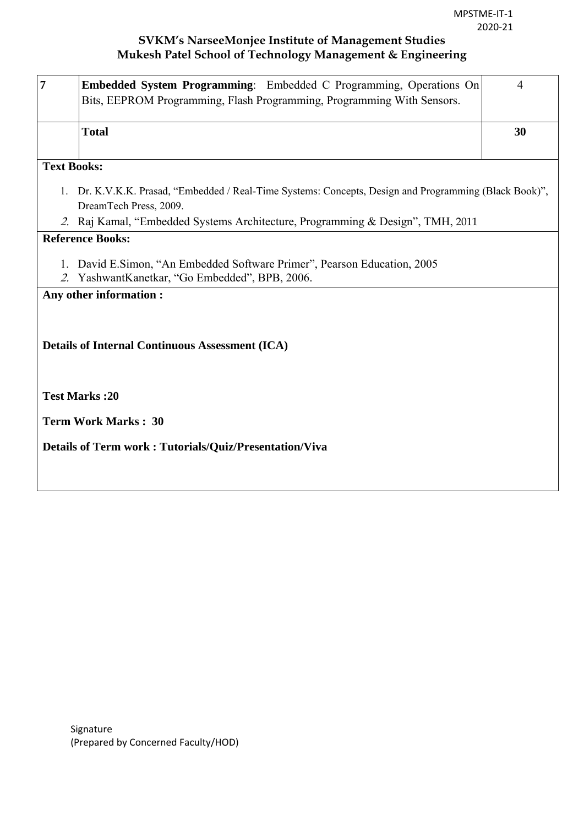| $\overline{7}$     | Embedded System Programming: Embedded C Programming, Operations On<br>Bits, EEPROM Programming, Flash Programming, Programming With Sensors.                                                                       | $\overline{4}$ |
|--------------------|--------------------------------------------------------------------------------------------------------------------------------------------------------------------------------------------------------------------|----------------|
|                    | <b>Total</b>                                                                                                                                                                                                       | 30             |
| <b>Text Books:</b> |                                                                                                                                                                                                                    |                |
|                    | 1. Dr. K.V.K.K. Prasad, "Embedded / Real-Time Systems: Concepts, Design and Programming (Black Book)",<br>DreamTech Press, 2009.<br>2. Raj Kamal, "Embedded Systems Architecture, Programming & Design", TMH, 2011 |                |
|                    | <b>Reference Books:</b>                                                                                                                                                                                            |                |
| 1.                 | David E.Simon, "An Embedded Software Primer", Pearson Education, 2005<br>2. YashwantKanetkar, "Go Embedded", BPB, 2006.                                                                                            |                |
|                    | Any other information :                                                                                                                                                                                            |                |
|                    | <b>Details of Internal Continuous Assessment (ICA)</b>                                                                                                                                                             |                |
|                    | <b>Test Marks:20</b>                                                                                                                                                                                               |                |
|                    | <b>Term Work Marks: 30</b>                                                                                                                                                                                         |                |
|                    | <b>Details of Term work: Tutorials/Quiz/Presentation/Viva</b>                                                                                                                                                      |                |
|                    |                                                                                                                                                                                                                    |                |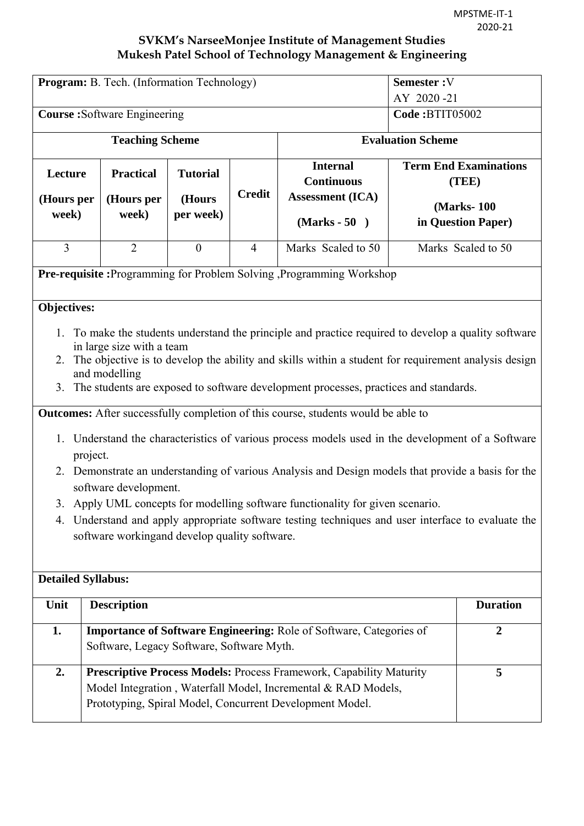| <b>Program:</b> B. Tech. (Information Technology) |                                                                                                                                                                                                                                                                                                                                                                  |                  |                          |                                                                                                    | Semester: V           |                                       |  |
|---------------------------------------------------|------------------------------------------------------------------------------------------------------------------------------------------------------------------------------------------------------------------------------------------------------------------------------------------------------------------------------------------------------------------|------------------|--------------------------|----------------------------------------------------------------------------------------------------|-----------------------|---------------------------------------|--|
|                                                   |                                                                                                                                                                                                                                                                                                                                                                  |                  |                          |                                                                                                    | AY 2020-21            |                                       |  |
|                                                   | <b>Course:</b> Software Engineering                                                                                                                                                                                                                                                                                                                              |                  |                          |                                                                                                    | <b>Code:BTIT05002</b> |                                       |  |
| <b>Teaching Scheme</b>                            |                                                                                                                                                                                                                                                                                                                                                                  |                  | <b>Evaluation Scheme</b> |                                                                                                    |                       |                                       |  |
| Lecture                                           | <b>Practical</b>                                                                                                                                                                                                                                                                                                                                                 | <b>Tutorial</b>  |                          | <b>Internal</b><br><b>Continuous</b>                                                               |                       | <b>Term End Examinations</b><br>(TEE) |  |
| (Hours per                                        | (Hours per                                                                                                                                                                                                                                                                                                                                                       | (Hours           | <b>Credit</b>            | <b>Assessment (ICA)</b>                                                                            |                       | (Marks-100)                           |  |
| week)                                             | week)                                                                                                                                                                                                                                                                                                                                                            | per week)        |                          | $(Marks - 50)$                                                                                     |                       | in Question Paper)                    |  |
| $\overline{3}$                                    | $\overline{2}$                                                                                                                                                                                                                                                                                                                                                   | $\boldsymbol{0}$ | $\overline{4}$           | Marks Scaled to 50                                                                                 |                       | Marks Scaled to 50                    |  |
|                                                   |                                                                                                                                                                                                                                                                                                                                                                  |                  |                          | <b>Pre-requisite:</b> Programming for Problem Solving ,Programming Workshop                        |                       |                                       |  |
| 3.                                                | Objectives:<br>To make the students understand the principle and practice required to develop a quality software<br>in large size with a team<br>2. The objective is to develop the ability and skills within a student for requirement analysis design<br>and modelling<br>The students are exposed to software development processes, practices and standards. |                  |                          |                                                                                                    |                       |                                       |  |
|                                                   |                                                                                                                                                                                                                                                                                                                                                                  |                  |                          | <b>Outcomes:</b> After successfully completion of this course, students would be able to           |                       |                                       |  |
|                                                   |                                                                                                                                                                                                                                                                                                                                                                  |                  |                          |                                                                                                    |                       |                                       |  |
| project.                                          |                                                                                                                                                                                                                                                                                                                                                                  |                  |                          | 1. Understand the characteristics of various process models used in the development of a Software  |                       |                                       |  |
|                                                   | software development.                                                                                                                                                                                                                                                                                                                                            |                  |                          | 2. Demonstrate an understanding of various Analysis and Design models that provide a basis for the |                       |                                       |  |
|                                                   |                                                                                                                                                                                                                                                                                                                                                                  |                  |                          | 3. Apply UML concepts for modelling software functionality for given scenario.                     |                       |                                       |  |
|                                                   |                                                                                                                                                                                                                                                                                                                                                                  |                  |                          | 4. Understand and apply appropriate software testing techniques and user interface to evaluate the |                       |                                       |  |
|                                                   | software workingand develop quality software.                                                                                                                                                                                                                                                                                                                    |                  |                          |                                                                                                    |                       |                                       |  |
|                                                   |                                                                                                                                                                                                                                                                                                                                                                  |                  |                          |                                                                                                    |                       |                                       |  |
| <b>Detailed Syllabus:</b>                         |                                                                                                                                                                                                                                                                                                                                                                  |                  |                          |                                                                                                    |                       |                                       |  |
| Unit                                              | <b>Description</b>                                                                                                                                                                                                                                                                                                                                               |                  |                          |                                                                                                    |                       | <b>Duration</b>                       |  |
| 1.                                                | <b>Importance of Software Engineering: Role of Software, Categories of</b><br>$\overline{2}$<br>Software, Legacy Software, Software Myth.                                                                                                                                                                                                                        |                  |                          |                                                                                                    |                       |                                       |  |
| 2.                                                | Prescriptive Process Models: Process Framework, Capability Maturity<br>5<br>Model Integration, Waterfall Model, Incremental & RAD Models,<br>Prototyping, Spiral Model, Concurrent Development Model.                                                                                                                                                            |                  |                          |                                                                                                    |                       |                                       |  |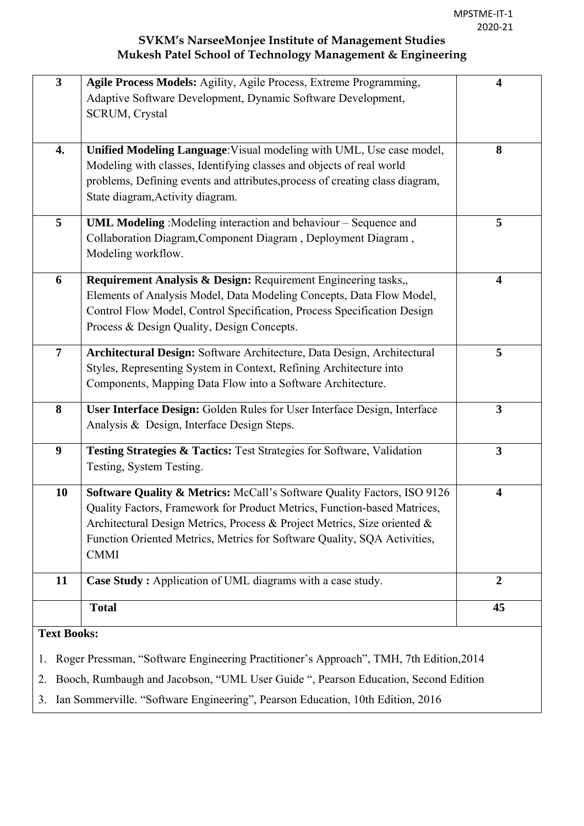| $\overline{\mathbf{3}}$ | Agile Process Models: Agility, Agile Process, Extreme Programming,                     | $\overline{\mathbf{4}}$ |
|-------------------------|----------------------------------------------------------------------------------------|-------------------------|
|                         | Adaptive Software Development, Dynamic Software Development,                           |                         |
|                         | <b>SCRUM, Crystal</b>                                                                  |                         |
|                         |                                                                                        |                         |
| 4.                      | Unified Modeling Language: Visual modeling with UML, Use case model,                   | 8                       |
|                         | Modeling with classes, Identifying classes and objects of real world                   |                         |
|                         | problems, Defining events and attributes, process of creating class diagram,           |                         |
|                         | State diagram, Activity diagram.                                                       |                         |
|                         |                                                                                        |                         |
| 5                       | <b>UML Modeling</b> : Modeling interaction and behaviour – Sequence and                | 5                       |
|                         | Collaboration Diagram, Component Diagram, Deployment Diagram,                          |                         |
|                         | Modeling workflow.                                                                     |                         |
| 6                       | Requirement Analysis & Design: Requirement Engineering tasks,,                         | $\overline{\mathbf{4}}$ |
|                         | Elements of Analysis Model, Data Modeling Concepts, Data Flow Model,                   |                         |
|                         | Control Flow Model, Control Specification, Process Specification Design                |                         |
|                         | Process & Design Quality, Design Concepts.                                             |                         |
|                         |                                                                                        |                         |
| $\overline{7}$          | Architectural Design: Software Architecture, Data Design, Architectural                | 5                       |
|                         | Styles, Representing System in Context, Refining Architecture into                     |                         |
|                         | Components, Mapping Data Flow into a Software Architecture.                            |                         |
|                         |                                                                                        |                         |
| 8                       | User Interface Design: Golden Rules for User Interface Design, Interface               | $\mathbf{3}$            |
|                         | Analysis & Design, Interface Design Steps.                                             |                         |
| 9                       | Testing Strategies & Tactics: Test Strategies for Software, Validation                 | $\mathbf{3}$            |
|                         | Testing, System Testing.                                                               |                         |
|                         |                                                                                        |                         |
| 10                      | Software Quality & Metrics: McCall's Software Quality Factors, ISO 9126                | $\overline{\mathbf{4}}$ |
|                         | Quality Factors, Framework for Product Metrics, Function-based Matrices.               |                         |
|                         | Architectural Design Metrics, Process & Project Metrics, Size oriented &               |                         |
|                         | Function Oriented Metrics, Metrics for Software Quality, SQA Activities,               |                         |
|                         | <b>CMMI</b>                                                                            |                         |
| 11                      | Case Study: Application of UML diagrams with a case study.                             | $\overline{2}$          |
|                         |                                                                                        |                         |
|                         | <b>Total</b>                                                                           | 45                      |
| <b>Text Books:</b>      |                                                                                        |                         |
|                         |                                                                                        |                         |
| 1.                      | Roger Pressman, "Software Engineering Practitioner's Approach", TMH, 7th Edition, 2014 |                         |
| 2.                      | Booch, Rumbaugh and Jacobson, "UML User Guide ", Pearson Education, Second Edition     |                         |
|                         |                                                                                        |                         |

3. Ian Sommerville. "Software Engineering", Pearson Education, 10th Edition, 2016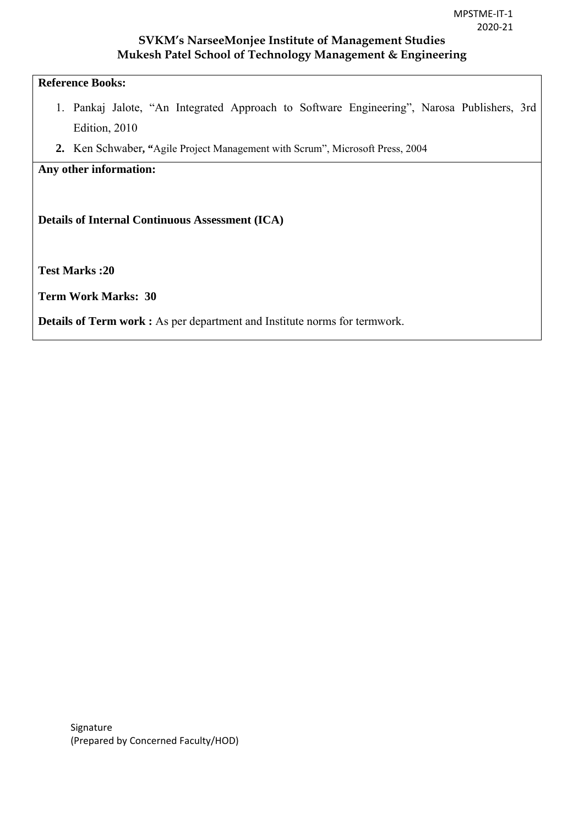# **Reference Books:**

- 1. Pankaj Jalote, "An Integrated Approach to Software Engineering", Narosa Publishers, 3rd Edition, 2010
- **2.** Ken Schwaber**, "**Agile Project Management with Scrum", Microsoft Press, 2004

#### **Any other information:**

**Details of Internal Continuous Assessment (ICA)** 

**Test Marks :20** 

**Term Work Marks: 30** 

**Details of Term work :** As per department and Institute norms for termwork.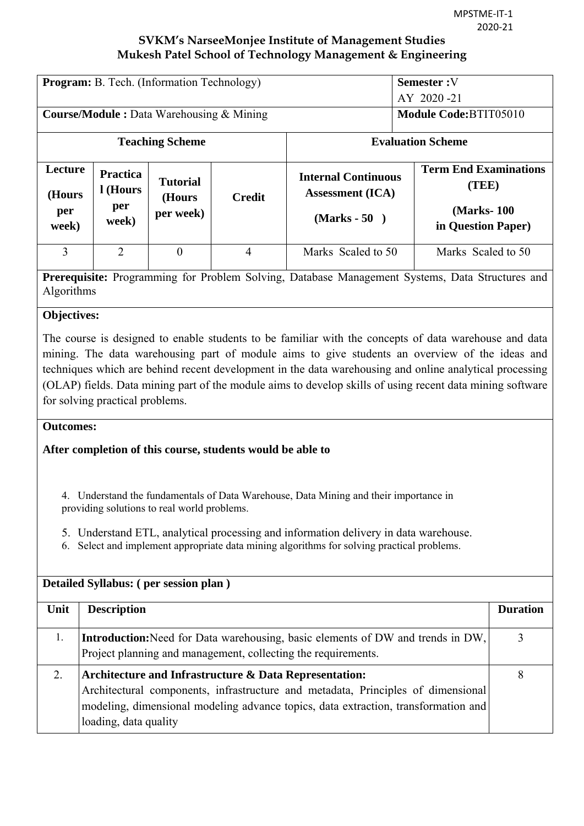| <b>Program:</b> B. Tech. (Information Technology) |                             |                           |               |                                                       | <b>Semester:V</b><br>$AY$ 2020 -21    |  |  |
|---------------------------------------------------|-----------------------------|---------------------------|---------------|-------------------------------------------------------|---------------------------------------|--|--|
| <b>Course/Module :</b> Data Warehousing & Mining  |                             |                           |               | <b>Module Code: BTIT05010</b>                         |                                       |  |  |
|                                                   |                             | <b>Teaching Scheme</b>    |               | <b>Evaluation Scheme</b>                              |                                       |  |  |
| Lecture<br>(Hours                                 | <b>Practica</b><br>l (Hours | <b>Tutorial</b><br>(Hours | <b>Credit</b> | <b>Internal Continuous</b><br><b>Assessment</b> (ICA) | <b>Term End Examinations</b><br>(TEE) |  |  |
| per<br>week)                                      | per<br>week)                | per week)                 |               | (Marks - 50)                                          | (Marks-100)<br>in Question Paper)     |  |  |
| 3                                                 | 2                           | $\theta$                  | 4             | Marks Scaled to 50                                    | Marks Scaled to 50                    |  |  |

**Prerequisite:** Programming for Problem Solving, Database Management Systems, Data Structures and Algorithms

# **Objectives:**

The course is designed to enable students to be familiar with the concepts of data warehouse and data mining. The data warehousing part of module aims to give students an overview of the ideas and techniques which are behind recent development in the data warehousing and online analytical processing (OLAP) fields. Data mining part of the module aims to develop skills of using recent data mining software for solving practical problems.

#### **Outcomes:**

### **After completion of this course, students would be able to**

4. Understand the fundamentals of Data Warehouse, Data Mining and their importance in providing solutions to real world problems.

- 5. Understand ETL, analytical processing and information delivery in data warehouse.
- 6. Select and implement appropriate data mining algorithms for solving practical problems.

| Detailed Syllabus: (per session plan) |                                                                                                                                                                                                                                                           |                 |  |  |  |
|---------------------------------------|-----------------------------------------------------------------------------------------------------------------------------------------------------------------------------------------------------------------------------------------------------------|-----------------|--|--|--|
| Unit                                  | <b>Description</b>                                                                                                                                                                                                                                        | <b>Duration</b> |  |  |  |
| 1.                                    | Introduction: Need for Data warehousing, basic elements of DW and trends in DW,<br>Project planning and management, collecting the requirements.                                                                                                          | 3               |  |  |  |
| 2.                                    | Architecture and Infrastructure & Data Representation:<br>Architectural components, infrastructure and metadata, Principles of dimensional<br>modeling, dimensional modeling advance topics, data extraction, transformation and<br>loading, data quality | 8               |  |  |  |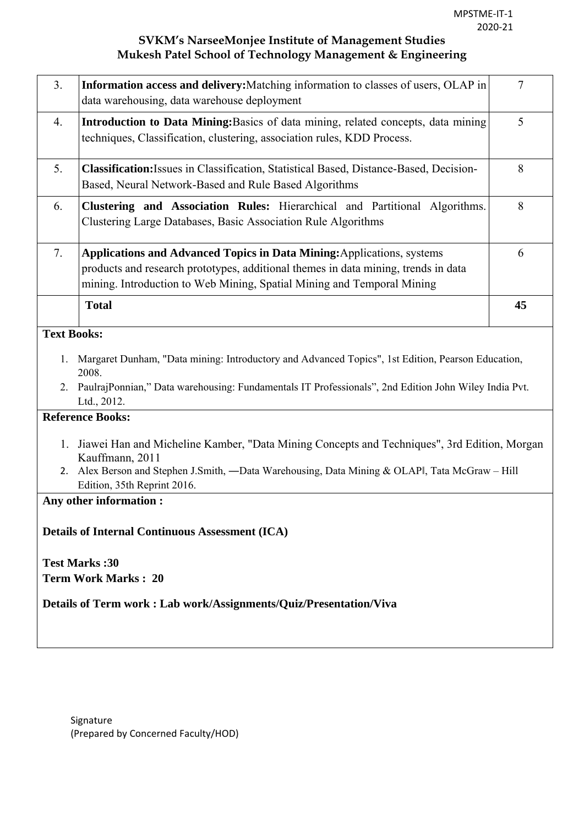| 3 <sub>1</sub>       | Information access and delivery: Matching information to classes of users, OLAP in<br>data warehousing, data warehouse deployment                                                                                                               | $\overline{7}$ |  |  |  |  |  |  |
|----------------------|-------------------------------------------------------------------------------------------------------------------------------------------------------------------------------------------------------------------------------------------------|----------------|--|--|--|--|--|--|
| 4.                   | Introduction to Data Mining: Basics of data mining, related concepts, data mining<br>techniques, Classification, clustering, association rules, KDD Process.                                                                                    | 5              |  |  |  |  |  |  |
| 5.                   | <b>Classification:</b> Issues in Classification, Statistical Based, Distance-Based, Decision-<br>Based, Neural Network-Based and Rule Based Algorithms                                                                                          | 8              |  |  |  |  |  |  |
| 6.                   | Clustering and Association Rules: Hierarchical and Partitional Algorithms.<br>Clustering Large Databases, Basic Association Rule Algorithms                                                                                                     | 8              |  |  |  |  |  |  |
| 7.                   | <b>Applications and Advanced Topics in Data Mining:</b> Applications, systems<br>products and research prototypes, additional themes in data mining, trends in data<br>mining. Introduction to Web Mining, Spatial Mining and Temporal Mining   | 6              |  |  |  |  |  |  |
|                      | <b>Total</b>                                                                                                                                                                                                                                    | 45             |  |  |  |  |  |  |
| <b>Text Books:</b>   |                                                                                                                                                                                                                                                 |                |  |  |  |  |  |  |
| 1.                   | Margaret Dunham, "Data mining: Introductory and Advanced Topics", 1st Edition, Pearson Education,<br>2008.<br>2. PaulrajPonnian," Data warehousing: Fundamentals IT Professionals", 2nd Edition John Wiley India Pvt.<br>Ltd., 2012.            |                |  |  |  |  |  |  |
|                      | <b>Reference Books:</b>                                                                                                                                                                                                                         |                |  |  |  |  |  |  |
| 1.                   | Jiawei Han and Micheline Kamber, "Data Mining Concepts and Techniques", 3rd Edition, Morgan<br>Kauffmann, 2011<br>2. Alex Berson and Stephen J.Smith, -Data Warehousing, Data Mining & OLAPI, Tata McGraw - Hill<br>Edition, 35th Reprint 2016. |                |  |  |  |  |  |  |
|                      | Any other information:                                                                                                                                                                                                                          |                |  |  |  |  |  |  |
|                      | <b>Details of Internal Continuous Assessment (ICA)</b>                                                                                                                                                                                          |                |  |  |  |  |  |  |
| <b>Test Marks:30</b> |                                                                                                                                                                                                                                                 |                |  |  |  |  |  |  |
|                      | <b>Term Work Marks: 20</b>                                                                                                                                                                                                                      |                |  |  |  |  |  |  |
|                      | Details of Term work: Lab work/Assignments/Quiz/Presentation/Viva                                                                                                                                                                               |                |  |  |  |  |  |  |
|                      |                                                                                                                                                                                                                                                 |                |  |  |  |  |  |  |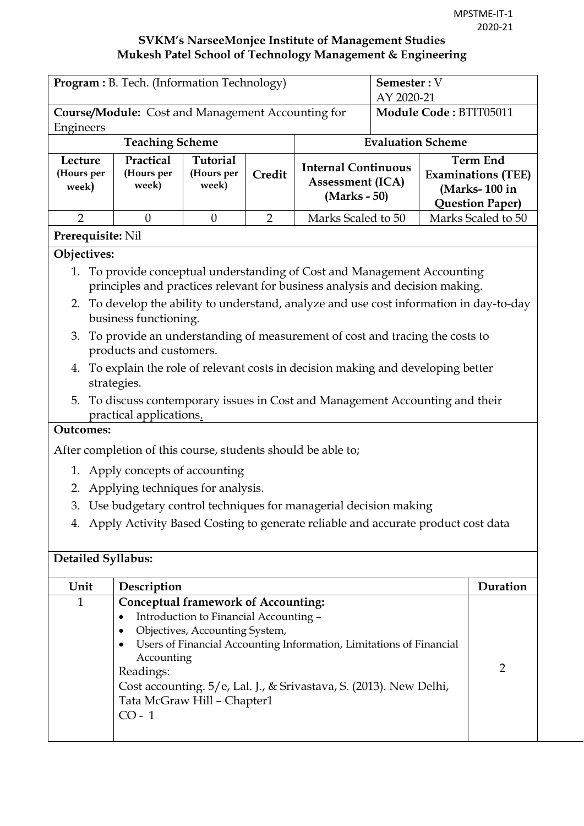| <b>Program:</b> B. Tech. (Information Technology)                                                                                                                                                                  |                                                                                                                  |                        |                |                                                                                |  | <b>Semester:</b> V<br>AY 2020-21                                     |  |
|--------------------------------------------------------------------------------------------------------------------------------------------------------------------------------------------------------------------|------------------------------------------------------------------------------------------------------------------|------------------------|----------------|--------------------------------------------------------------------------------|--|----------------------------------------------------------------------|--|
|                                                                                                                                                                                                                    | <b>Course/Module:</b> Cost and Management Accounting for                                                         | Module Code: BTIT05011 |                |                                                                                |  |                                                                      |  |
| Engineers                                                                                                                                                                                                          |                                                                                                                  |                        |                |                                                                                |  |                                                                      |  |
|                                                                                                                                                                                                                    | <b>Teaching Scheme</b>                                                                                           |                        |                |                                                                                |  | <b>Evaluation Scheme</b>                                             |  |
| Practical<br><b>Tutorial</b><br><b>Term End</b><br>Lecture<br><b>Internal Continuous</b><br>(Hours per<br>(Hours per<br>(Hours per<br>Credit<br><b>Assessment (ICA)</b><br>week)<br>week)<br>week)<br>(Marks - 50) |                                                                                                                  |                        |                |                                                                                |  | <b>Examinations (TEE)</b><br>(Marks-100 in<br><b>Question Paper)</b> |  |
| $\overline{2}$                                                                                                                                                                                                     | $\theta$                                                                                                         | $\Omega$               | $\overline{2}$ | Marks Scaled to 50                                                             |  | Marks Scaled to 50                                                   |  |
| <b>Prerequisite: Nil</b>                                                                                                                                                                                           |                                                                                                                  |                        |                |                                                                                |  |                                                                      |  |
| Objectives:                                                                                                                                                                                                        |                                                                                                                  |                        |                |                                                                                |  |                                                                      |  |
| 1. To provide conceptual understanding of Cost and Management Accounting<br>principles and practices relevant for business analysis and decision making.                                                           |                                                                                                                  |                        |                |                                                                                |  |                                                                      |  |
|                                                                                                                                                                                                                    | 2. To develop the ability to understand, analyze and use cost information in day-to-day<br>business functioning. |                        |                |                                                                                |  |                                                                      |  |
|                                                                                                                                                                                                                    |                                                                                                                  |                        |                | 3. To provide an understanding of measurement of cost and tracing the costs to |  |                                                                      |  |

- products and customers.
- 4. To explain the role of relevant costs in decision making and developing better strategies.
- 5. To discuss contemporary issues in Cost and Management Accounting and their practical applications.

# **Outcomes:**

After completion of this course, students should be able to;

- 1. Apply concepts of accounting
- 2. Applying techniques for analysis.
- 3. Use budgetary control techniques for managerial decision making
- 4. Apply Activity Based Costing to generate reliable and accurate product cost data

#### **Detailed Syllabus:**

| Unit | Description                                                                                                                                                                                                                                                                                                                                            | Duration |
|------|--------------------------------------------------------------------------------------------------------------------------------------------------------------------------------------------------------------------------------------------------------------------------------------------------------------------------------------------------------|----------|
| 1    | <b>Conceptual framework of Accounting:</b><br>Introduction to Financial Accounting -<br>$\bullet$<br>Objectives, Accounting System,<br>Users of Financial Accounting Information, Limitations of Financial<br>Accounting<br>Readings:<br>Cost accounting. 5/e, Lal. J., & Srivastava, S. (2013). New Delhi,<br>Tata McGraw Hill - Chapter1<br>$CO - 1$ |          |
|      |                                                                                                                                                                                                                                                                                                                                                        |          |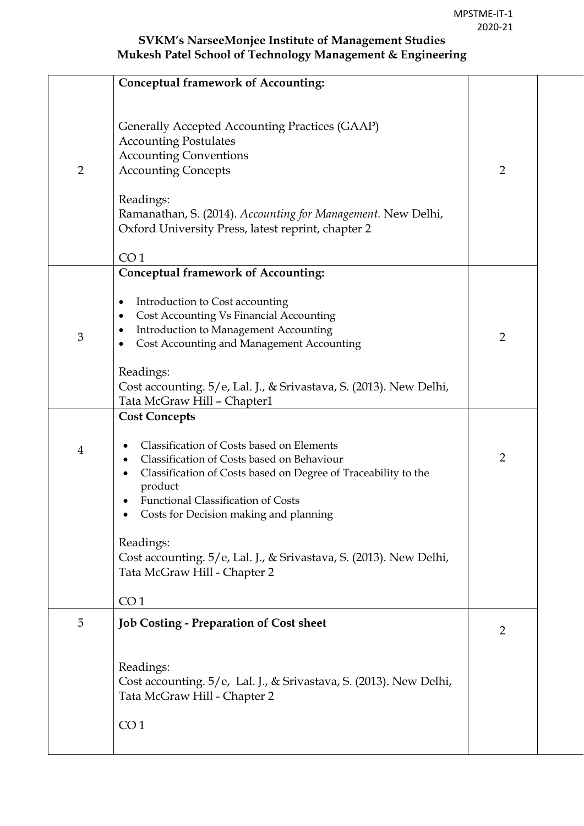|                | <b>Conceptual framework of Accounting:</b>                                                                                                                                                                                                                                                          |                |
|----------------|-----------------------------------------------------------------------------------------------------------------------------------------------------------------------------------------------------------------------------------------------------------------------------------------------------|----------------|
| $\overline{2}$ | Generally Accepted Accounting Practices (GAAP)<br><b>Accounting Postulates</b><br><b>Accounting Conventions</b><br><b>Accounting Concepts</b><br>Readings:<br>Ramanathan, S. (2014). Accounting for Management. New Delhi,<br>Oxford University Press, latest reprint, chapter 2<br>CO <sub>1</sub> | $\overline{2}$ |
|                | <b>Conceptual framework of Accounting:</b>                                                                                                                                                                                                                                                          |                |
| 3              | Introduction to Cost accounting<br>٠<br>Cost Accounting Vs Financial Accounting<br>٠<br>Introduction to Management Accounting<br>Cost Accounting and Management Accounting<br>Readings:<br>Cost accounting. 5/e, Lal. J., & Srivastava, S. (2013). New Delhi,                                       | $\overline{2}$ |
|                | Tata McGraw Hill - Chapter1                                                                                                                                                                                                                                                                         |                |
|                | <b>Cost Concepts</b>                                                                                                                                                                                                                                                                                |                |
| $\overline{4}$ | Classification of Costs based on Elements<br>Classification of Costs based on Behaviour<br>Classification of Costs based on Degree of Traceability to the<br>product<br><b>Functional Classification of Costs</b><br>Costs for Decision making and planning                                         | $\overline{2}$ |
|                | Readings:<br>Cost accounting. 5/e, Lal. J., & Srivastava, S. (2013). New Delhi,<br>Tata McGraw Hill - Chapter 2                                                                                                                                                                                     |                |
|                | CO <sub>1</sub>                                                                                                                                                                                                                                                                                     |                |
| 5              | <b>Job Costing - Preparation of Cost sheet</b>                                                                                                                                                                                                                                                      | 2              |
|                | Readings:<br>Cost accounting. 5/e, Lal. J., & Srivastava, S. (2013). New Delhi,<br>Tata McGraw Hill - Chapter 2                                                                                                                                                                                     |                |
|                | CO <sub>1</sub>                                                                                                                                                                                                                                                                                     |                |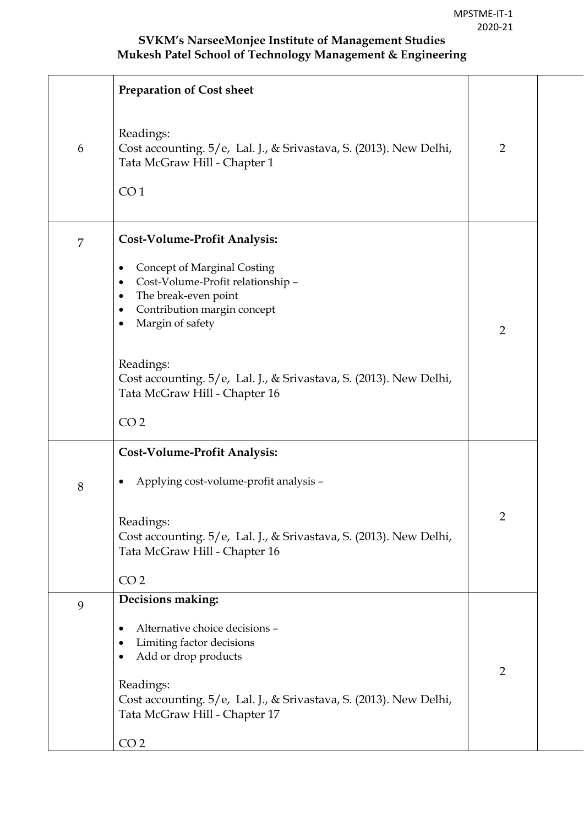|   | <b>Preparation of Cost sheet</b>                                                                                                                                                |                |
|---|---------------------------------------------------------------------------------------------------------------------------------------------------------------------------------|----------------|
| 6 | Readings:<br>Cost accounting. 5/e, Lal. J., & Srivastava, S. (2013). New Delhi,<br>Tata McGraw Hill - Chapter 1<br>CO <sub>1</sub>                                              | $\overline{2}$ |
| 7 | <b>Cost-Volume-Profit Analysis:</b>                                                                                                                                             |                |
|   | Concept of Marginal Costing<br>٠<br>Cost-Volume-Profit relationship -<br>$\bullet$<br>The break-even point<br>٠<br>Contribution margin concept<br>Margin of safety<br>$\bullet$ | $\overline{2}$ |
|   | Readings:<br>Cost accounting. 5/e, Lal. J., & Srivastava, S. (2013). New Delhi,<br>Tata McGraw Hill - Chapter 16<br>CO <sub>2</sub>                                             |                |
|   | <b>Cost-Volume-Profit Analysis:</b>                                                                                                                                             |                |
| 8 | Applying cost-volume-profit analysis -                                                                                                                                          |                |
|   | Readings:<br>Cost accounting. 5/e, Lal. J., & Srivastava, S. (2013). New Delhi,<br>Tata McGraw Hill - Chapter 16                                                                | $\overline{2}$ |
|   | CO <sub>2</sub>                                                                                                                                                                 |                |
| 9 | Decisions making:                                                                                                                                                               |                |
|   | Alternative choice decisions -<br>٠<br>Limiting factor decisions<br>Add or drop products                                                                                        |                |
|   | Readings:<br>Cost accounting. 5/e, Lal. J., & Srivastava, S. (2013). New Delhi,<br>Tata McGraw Hill - Chapter 17                                                                | $\overline{2}$ |
|   | CO <sub>2</sub>                                                                                                                                                                 |                |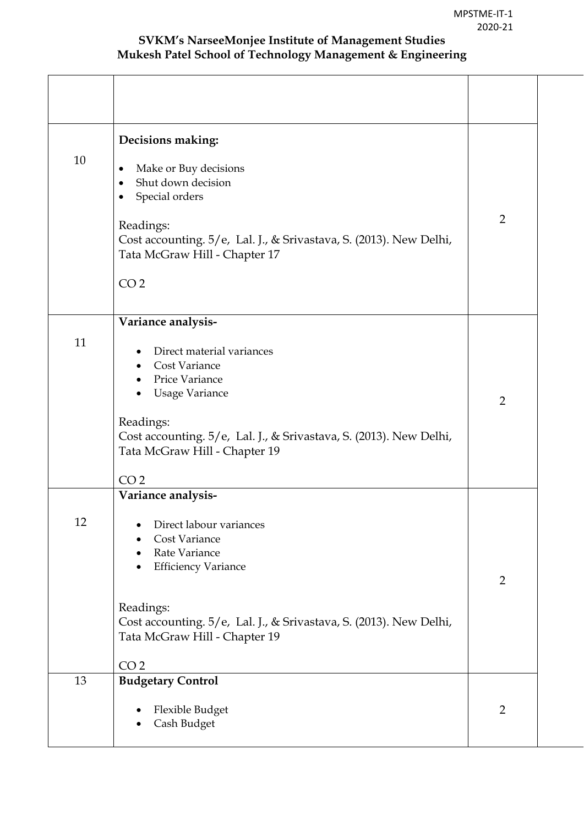| 10 | Decisions making:<br>Make or Buy decisions<br>Shut down decision<br>$\bullet$<br>Special orders<br>$\bullet$<br>Readings:<br>Cost accounting. 5/e, Lal. J., & Srivastava, S. (2013). New Delhi,<br>Tata McGraw Hill - Chapter 17<br>CO <sub>2</sub>       | $\overline{2}$ |
|----|-----------------------------------------------------------------------------------------------------------------------------------------------------------------------------------------------------------------------------------------------------------|----------------|
| 11 | Variance analysis-<br>Direct material variances<br><b>Cost Variance</b><br>Price Variance<br><b>Usage Variance</b><br>Readings:<br>Cost accounting. 5/e, Lal. J., & Srivastava, S. (2013). New Delhi,<br>Tata McGraw Hill - Chapter 19<br>CO <sub>2</sub> | $\overline{2}$ |
| 12 | Variance analysis-<br>Direct labour variances<br>Cost Variance<br>Rate Variance<br><b>Efficiency Variance</b><br>Readings:<br>Cost accounting. 5/e, Lal. J., & Srivastava, S. (2013). New Delhi,<br>Tata McGraw Hill - Chapter 19<br>CO <sub>2</sub>      | $\overline{2}$ |
| 13 | <b>Budgetary Control</b><br>Flexible Budget<br>Cash Budget                                                                                                                                                                                                | $\overline{2}$ |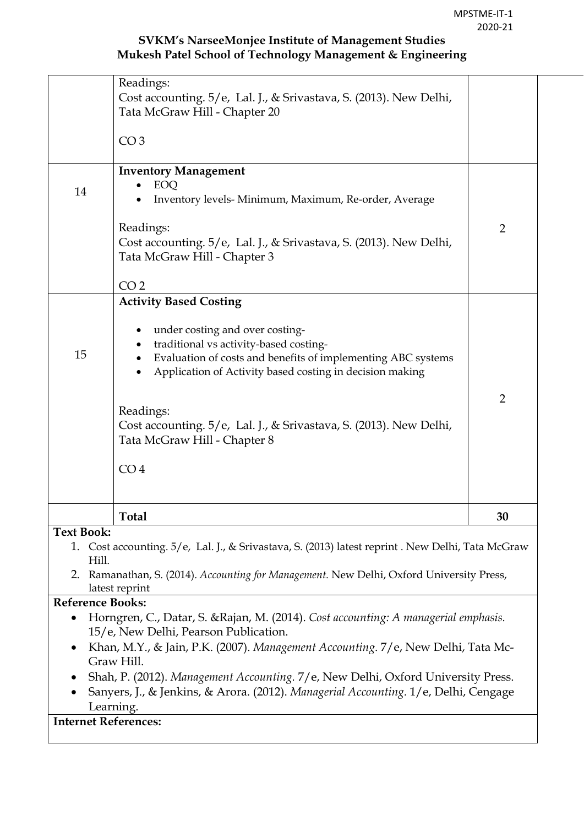|                   | Readings:                                                                                                                             |                |
|-------------------|---------------------------------------------------------------------------------------------------------------------------------------|----------------|
|                   | Cost accounting. 5/e, Lal. J., & Srivastava, S. (2013). New Delhi,                                                                    |                |
|                   | Tata McGraw Hill - Chapter 20                                                                                                         |                |
|                   |                                                                                                                                       |                |
|                   | CO <sub>3</sub>                                                                                                                       |                |
|                   |                                                                                                                                       |                |
|                   | <b>Inventory Management</b><br>EOQ                                                                                                    |                |
| 14                | Inventory levels- Minimum, Maximum, Re-order, Average                                                                                 |                |
|                   |                                                                                                                                       |                |
|                   | Readings:                                                                                                                             | $\overline{2}$ |
|                   | Cost accounting. 5/e, Lal. J., & Srivastava, S. (2013). New Delhi,                                                                    |                |
|                   | Tata McGraw Hill - Chapter 3                                                                                                          |                |
|                   |                                                                                                                                       |                |
|                   | CO <sub>2</sub>                                                                                                                       |                |
|                   | <b>Activity Based Costing</b>                                                                                                         |                |
|                   | under costing and over costing-<br>٠<br>traditional vs activity-based costing-<br>٠                                                   |                |
| 15                | Evaluation of costs and benefits of implementing ABC systems<br>$\bullet$<br>Application of Activity based costing in decision making |                |
|                   |                                                                                                                                       | $\overline{2}$ |
|                   | Readings:                                                                                                                             |                |
|                   | Cost accounting. 5/e, Lal. J., & Srivastava, S. (2013). New Delhi,                                                                    |                |
|                   | Tata McGraw Hill - Chapter 8                                                                                                          |                |
|                   |                                                                                                                                       |                |
|                   | CO <sub>4</sub>                                                                                                                       |                |
|                   |                                                                                                                                       |                |
|                   | <b>Total</b>                                                                                                                          | 30             |
| <b>Text Book:</b> |                                                                                                                                       |                |
|                   | 1. Cost accounting. 5/e, Lal. J., & Srivastava, S. (2013) latest reprint . New Delhi, Tata McGraw                                     |                |
| Hill.             |                                                                                                                                       |                |

2. Ramanathan, S. (2014). *Accounting for Management.* New Delhi, Oxford University Press, latest reprint

#### **Reference Books:**

- Horngren, C., Datar, S. &Rajan, M. (2014). *Cost accounting: A managerial emphasis.* 15/e, New Delhi, Pearson Publication.
- Khan, M.Y., & Jain, P.K. (2007). *Management Accounting*. 7/e, New Delhi, Tata Mc-Graw Hill.
- Shah, P. (2012). *Management Accounting.* 7/e, New Delhi, Oxford University Press.
- Sanyers, J., & Jenkins, & Arora. (2012). *Managerial Accounting.* 1/e, Delhi, Cengage Learning.

#### **Internet References:**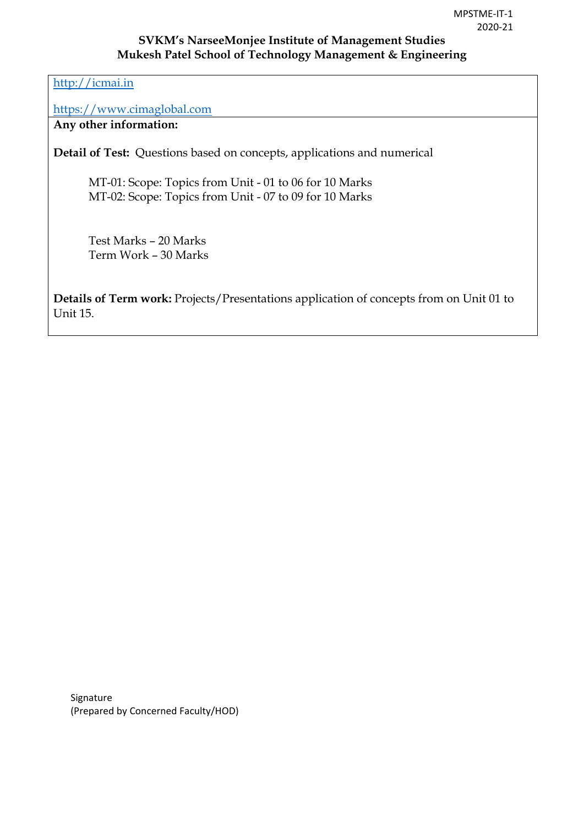[http://icmai.in](http://icmai.in/)

[https://www.cimaglobal.com](https://www.cimaglobal.com/)

**Any other information:** 

**Detail of Test:** Questions based on concepts, applications and numerical

MT-01: Scope: Topics from Unit - 01 to 06 for 10 Marks MT-02: Scope: Topics from Unit - 07 to 09 for 10 Marks

 Test Marks – 20 Marks Term Work – 30 Marks

**Details of Term work:** Projects/Presentations application of concepts from on Unit 01 to Unit 15.

Signature (Prepared by Concerned Faculty/HOD)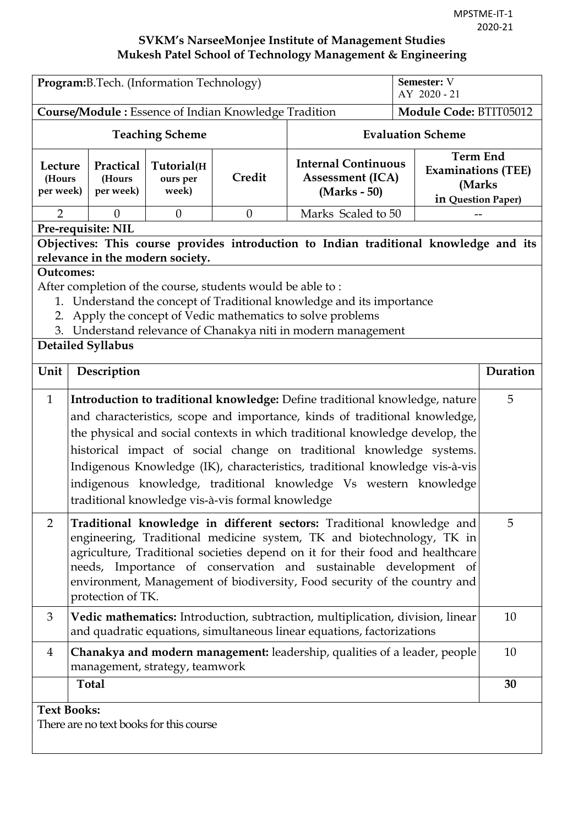|                                                                                                                                                                                                                                                                                                                                                                                                                                                                                                                                          | Program: B. Tech. (Information Technology)                    |                                 |          |                                                                                                                                                          |                                                                              |    |  |
|------------------------------------------------------------------------------------------------------------------------------------------------------------------------------------------------------------------------------------------------------------------------------------------------------------------------------------------------------------------------------------------------------------------------------------------------------------------------------------------------------------------------------------------|---------------------------------------------------------------|---------------------------------|----------|----------------------------------------------------------------------------------------------------------------------------------------------------------|------------------------------------------------------------------------------|----|--|
|                                                                                                                                                                                                                                                                                                                                                                                                                                                                                                                                          | Course/Module: Essence of Indian Knowledge Tradition          |                                 |          | Module Code: BTIT05012                                                                                                                                   |                                                                              |    |  |
| <b>Teaching Scheme</b>                                                                                                                                                                                                                                                                                                                                                                                                                                                                                                                   |                                                               |                                 |          | <b>Evaluation Scheme</b>                                                                                                                                 |                                                                              |    |  |
| Lecture<br>(Hours<br>per week)                                                                                                                                                                                                                                                                                                                                                                                                                                                                                                           | Practical<br>(Hours<br>per week)                              | Tutorial(H<br>ours per<br>week) | Credit   | <b>Internal Continuous</b><br><b>Assessment (ICA)</b><br>(Marks - 50)                                                                                    | <b>Term End</b><br><b>Examinations (TEE)</b><br>(Marks<br>in Question Paper) |    |  |
| $\overline{2}$                                                                                                                                                                                                                                                                                                                                                                                                                                                                                                                           | $\overline{0}$                                                | $\theta$                        | $\theta$ | Marks Scaled to 50                                                                                                                                       |                                                                              |    |  |
| Pre-requisite: NIL<br>Objectives: This course provides introduction to Indian traditional knowledge and its<br>relevance in the modern society.<br><b>Outcomes:</b><br>After completion of the course, students would be able to:<br>1. Understand the concept of Traditional knowledge and its importance<br>Apply the concept of Vedic mathematics to solve problems<br>2.<br>3. Understand relevance of Chanakya niti in modern management<br><b>Detailed Syllabus</b>                                                                |                                                               |                                 |          |                                                                                                                                                          |                                                                              |    |  |
| Unit<br>Description                                                                                                                                                                                                                                                                                                                                                                                                                                                                                                                      |                                                               |                                 |          |                                                                                                                                                          | Duration                                                                     |    |  |
| $\mathbf{1}$<br>Introduction to traditional knowledge: Define traditional knowledge, nature<br>and characteristics, scope and importance, kinds of traditional knowledge,<br>the physical and social contexts in which traditional knowledge develop, the<br>historical impact of social change on traditional knowledge systems.<br>Indigenous Knowledge (IK), characteristics, traditional knowledge vis-à-vis<br>indigenous knowledge, traditional knowledge Vs western knowledge<br>traditional knowledge vis-à-vis formal knowledge |                                                               |                                 |          |                                                                                                                                                          | 5                                                                            |    |  |
| Traditional knowledge in different sectors: Traditional knowledge and<br>$\overline{2}$<br>engineering, Traditional medicine system, TK and biotechnology, TK in<br>agriculture, Traditional societies depend on it for their food and healthcare<br>needs, Importance of conservation and sustainable development of<br>environment, Management of biodiversity, Food security of the country and<br>protection of TK.                                                                                                                  |                                                               |                                 |          | 5                                                                                                                                                        |                                                                              |    |  |
| 3                                                                                                                                                                                                                                                                                                                                                                                                                                                                                                                                        |                                                               |                                 |          | Vedic mathematics: Introduction, subtraction, multiplication, division, linear<br>and quadratic equations, simultaneous linear equations, factorizations |                                                                              | 10 |  |
| Chanakya and modern management: leadership, qualities of a leader, people<br>4<br>management, strategy, teamwork                                                                                                                                                                                                                                                                                                                                                                                                                         |                                                               |                                 |          |                                                                                                                                                          | 10                                                                           |    |  |
|                                                                                                                                                                                                                                                                                                                                                                                                                                                                                                                                          | <b>Total</b>                                                  |                                 |          |                                                                                                                                                          |                                                                              | 30 |  |
|                                                                                                                                                                                                                                                                                                                                                                                                                                                                                                                                          | <b>Text Books:</b><br>There are no text books for this course |                                 |          |                                                                                                                                                          |                                                                              |    |  |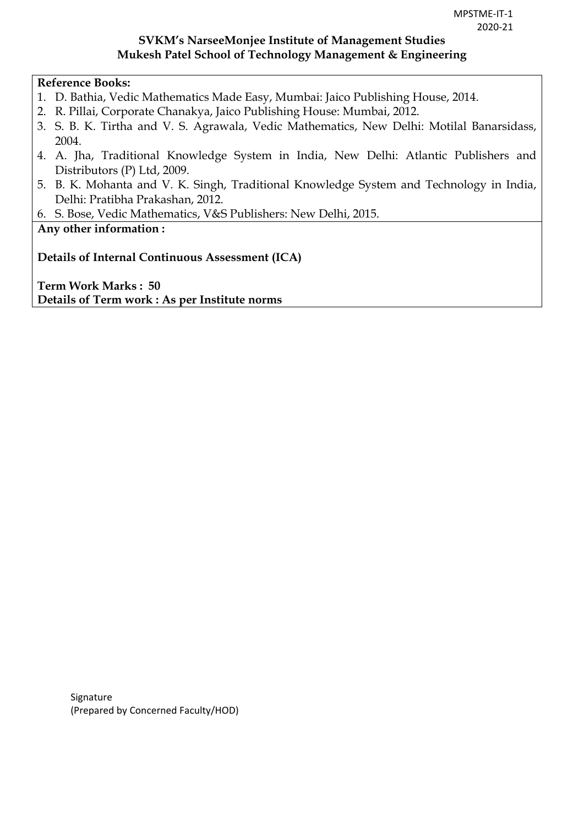### **Reference Books:**

- 1. D. Bathia, Vedic Mathematics Made Easy, Mumbai: Jaico Publishing House, 2014.
- 2. R. Pillai, Corporate Chanakya, Jaico Publishing House: Mumbai, 2012.
- 3. S. B. K. Tirtha and V. S. Agrawala, Vedic Mathematics, New Delhi: Motilal Banarsidass, 2004.
- 4. A. Jha, Traditional Knowledge System in India, New Delhi: Atlantic Publishers and Distributors (P) Ltd, 2009.
- 5. B. K. Mohanta and V. K. Singh, Traditional Knowledge System and Technology in India, Delhi: Pratibha Prakashan, 2012.
- 6. S. Bose, Vedic Mathematics, V&S Publishers: New Delhi, 2015.

# **Any other information :**

**Details of Internal Continuous Assessment (ICA)** 

**Term Work Marks : 50 Details of Term work : As per Institute norms** 

> Signature (Prepared by Concerned Faculty/HOD)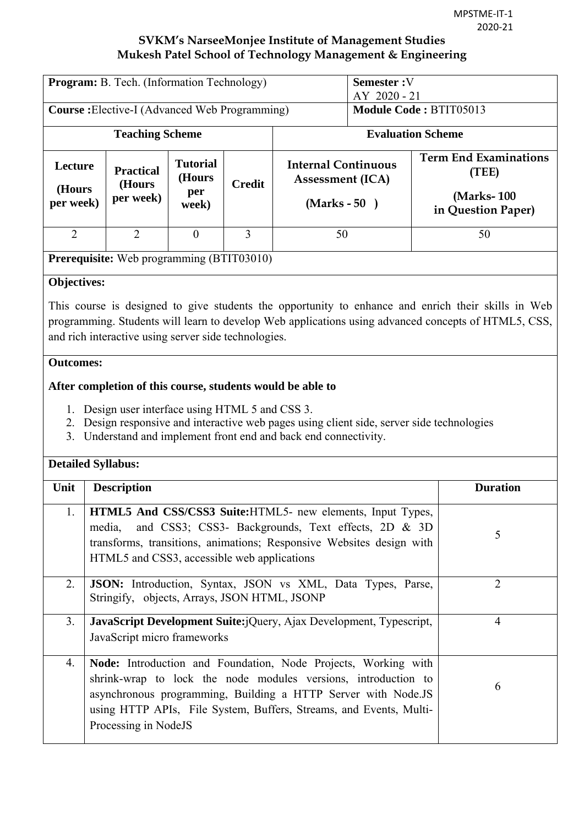| Program: B. Tech. (Information Technology)           |                                                                                                                                                                                                                                                                                                 |                                           |                        |                                                                         | Semester: V<br>AY 2020 - 21 |  |                                                                                                                                                                                                           |
|------------------------------------------------------|-------------------------------------------------------------------------------------------------------------------------------------------------------------------------------------------------------------------------------------------------------------------------------------------------|-------------------------------------------|------------------------|-------------------------------------------------------------------------|-----------------------------|--|-----------------------------------------------------------------------------------------------------------------------------------------------------------------------------------------------------------|
| <b>Course:</b> Elective-I (Advanced Web Programming) |                                                                                                                                                                                                                                                                                                 |                                           | Module Code: BTIT05013 |                                                                         |                             |  |                                                                                                                                                                                                           |
| <b>Teaching Scheme</b>                               |                                                                                                                                                                                                                                                                                                 |                                           |                        | <b>Evaluation Scheme</b>                                                |                             |  |                                                                                                                                                                                                           |
| Lecture<br>(Hours<br>per week)                       | <b>Practical</b><br>(Hours<br>per week)                                                                                                                                                                                                                                                         | <b>Tutorial</b><br>(Hours<br>per<br>week) | <b>Credit</b>          | <b>Internal Continuous</b><br><b>Assessment (ICA)</b><br>$(Marks - 50)$ |                             |  | <b>Term End Examinations</b><br>(TEE)<br>(Marks-100)<br>in Question Paper)                                                                                                                                |
| $\overline{2}$                                       | $\overline{2}$                                                                                                                                                                                                                                                                                  | $\theta$                                  | $\overline{3}$         | 50                                                                      |                             |  | 50                                                                                                                                                                                                        |
|                                                      | <b>Prerequisite:</b> Web programming (BTIT03010)                                                                                                                                                                                                                                                |                                           |                        |                                                                         |                             |  |                                                                                                                                                                                                           |
| Objectives:                                          |                                                                                                                                                                                                                                                                                                 |                                           |                        |                                                                         |                             |  |                                                                                                                                                                                                           |
|                                                      | and rich interactive using server side technologies.                                                                                                                                                                                                                                            |                                           |                        |                                                                         |                             |  | This course is designed to give students the opportunity to enhance and enrich their skills in Web<br>programming. Students will learn to develop Web applications using advanced concepts of HTML5, CSS, |
| 1.<br>2.<br>3.                                       | <b>Outcomes:</b><br>After completion of this course, students would be able to<br>Design user interface using HTML 5 and CSS 3.<br>Design responsive and interactive web pages using client side, server side technologies<br>Understand and implement front end and back end connectivity.     |                                           |                        |                                                                         |                             |  |                                                                                                                                                                                                           |
|                                                      | <b>Detailed Syllabus:</b>                                                                                                                                                                                                                                                                       |                                           |                        |                                                                         |                             |  |                                                                                                                                                                                                           |
| Unit                                                 | <b>Description</b>                                                                                                                                                                                                                                                                              |                                           |                        |                                                                         |                             |  | <b>Duration</b>                                                                                                                                                                                           |
| 1.                                                   | HTML5 And CSS/CSS3 Suite: HTML5- new elements, Input Types,<br>media,<br>transforms, transitions, animations; Responsive Websites design with<br>HTML5 and CSS3, accessible web applications                                                                                                    |                                           |                        | and CSS3; CSS3- Backgrounds, Text effects, 2D & 3D                      |                             |  | 5                                                                                                                                                                                                         |
| 2.                                                   | JSON: Introduction, Syntax, JSON vs XML, Data Types, Parse,<br>Stringify, objects, Arrays, JSON HTML, JSONP                                                                                                                                                                                     |                                           |                        |                                                                         |                             |  | $\overline{2}$                                                                                                                                                                                            |
| 3.                                                   | JavaScript Development Suite:jQuery, Ajax Development, Typescript,<br>JavaScript micro frameworks                                                                                                                                                                                               |                                           |                        |                                                                         |                             |  | $\overline{4}$                                                                                                                                                                                            |
| 4.                                                   | Node: Introduction and Foundation, Node Projects, Working with<br>shrink-wrap to lock the node modules versions, introduction to<br>asynchronous programming, Building a HTTP Server with Node.JS<br>using HTTP APIs, File System, Buffers, Streams, and Events, Multi-<br>Processing in NodeJS |                                           |                        |                                                                         |                             |  | 6                                                                                                                                                                                                         |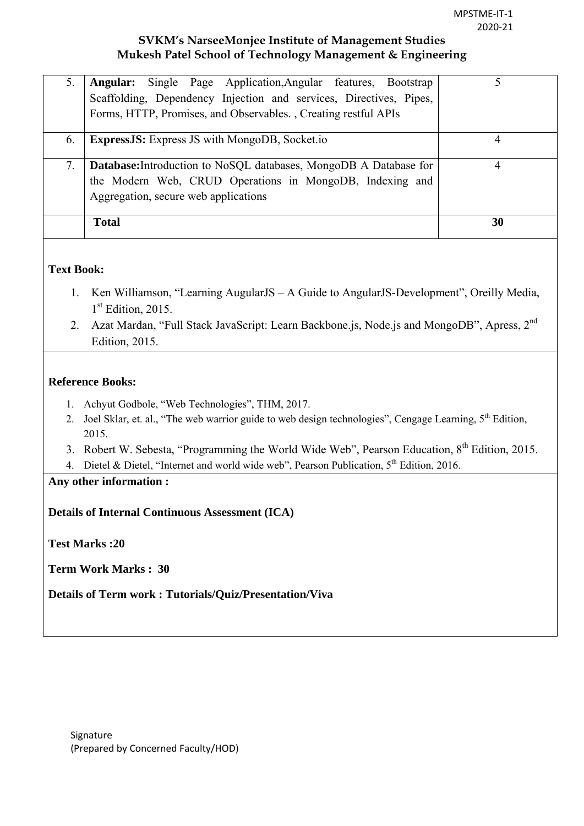| 5. | <b>Angular:</b> Single Page Application, Angular features, Bootstrap<br>Scaffolding, Dependency Injection and services, Directives, Pipes,<br>Forms, HTTP, Promises, and Observables., Creating restful APIs |    |
|----|--------------------------------------------------------------------------------------------------------------------------------------------------------------------------------------------------------------|----|
| 6. | <b>ExpressJS:</b> Express JS with MongoDB, Socket.io                                                                                                                                                         | 4  |
| 7. | <b>Database:</b> Introduction to NoSQL databases, MongoDB A Database for<br>the Modern Web, CRUD Operations in MongoDB, Indexing and<br>Aggregation, secure web applications                                 | 4  |
|    | <b>Total</b>                                                                                                                                                                                                 | 30 |

### **Text Book:**

- 1. Ken Williamson, "Learning AugularJS A Guide to AngularJS-Development", Oreilly Media, 1<sup>st</sup> Edition, 2015.
- 2. Azat Mardan, "Full Stack JavaScript: Learn Backbone.js, Node.js and MongoDB", Apress, 2<sup>nd</sup> Edition, 2015.

#### **Reference Books:**

- 1. Achyut Godbole, "Web Technologies", THM, 2017.
- 2. Joel Sklar, et. al., "The web warrior guide to web design technologies", Cengage Learning, 5<sup>th</sup> Edition, 2015.
- 3. Robert W. Sebesta, "Programming the World Wide Web", Pearson Education, 8<sup>th</sup> Edition, 2015.
- 4. Dietel & Dietel, "Internet and world wide web", Pearson Publication, 5<sup>th</sup> Edition, 2016.
- **Any other information :**

**Details of Internal Continuous Assessment (ICA)** 

**Test Marks :20** 

**Term Work Marks : 30** 

**Details of Term work : Tutorials/Quiz/Presentation/Viva**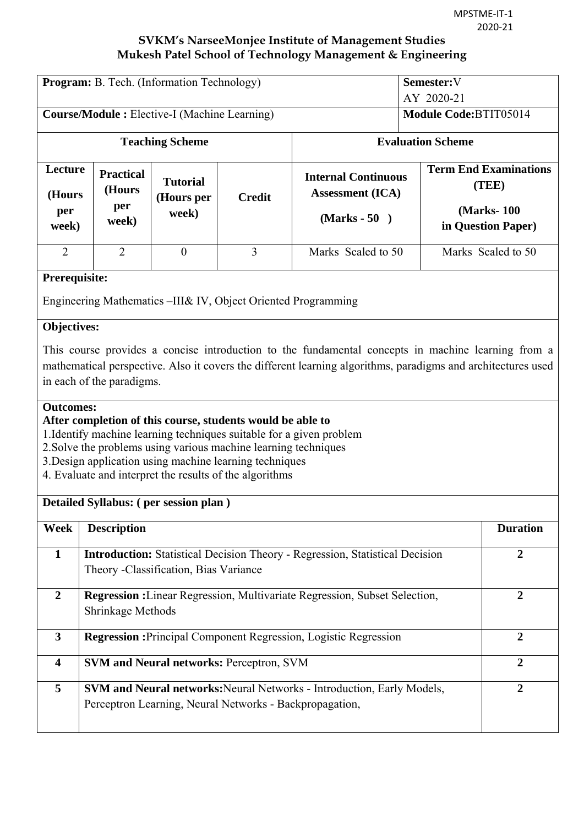| Program: B. Tech. (Information Technology)                                                                                          |                                                                                          |                                                     |                                                                                                                                                                                                                                                                                                                             | Semester:V<br>AY 2020-21                                                                                                                                                                                           |  |                                                                            |
|-------------------------------------------------------------------------------------------------------------------------------------|------------------------------------------------------------------------------------------|-----------------------------------------------------|-----------------------------------------------------------------------------------------------------------------------------------------------------------------------------------------------------------------------------------------------------------------------------------------------------------------------------|--------------------------------------------------------------------------------------------------------------------------------------------------------------------------------------------------------------------|--|----------------------------------------------------------------------------|
|                                                                                                                                     |                                                                                          | <b>Course/Module:</b> Elective-I (Machine Learning) |                                                                                                                                                                                                                                                                                                                             | Module Code:BTIT05014                                                                                                                                                                                              |  |                                                                            |
|                                                                                                                                     |                                                                                          | <b>Teaching Scheme</b>                              |                                                                                                                                                                                                                                                                                                                             | <b>Evaluation Scheme</b>                                                                                                                                                                                           |  |                                                                            |
| Lecture<br>(Hours<br>per<br>week)                                                                                                   | <b>Practical</b><br>(Hours<br>per<br>week)                                               | <b>Tutorial</b><br>(Hours per<br>week)              | <b>Credit</b>                                                                                                                                                                                                                                                                                                               | <b>Internal Continuous</b><br><b>Assessment (ICA)</b><br>$(Marks - 50)$                                                                                                                                            |  | <b>Term End Examinations</b><br>(TEE)<br>(Marks-100)<br>in Question Paper) |
| $\overline{2}$                                                                                                                      | $\overline{2}$                                                                           | $\mathbf{0}$                                        | $\overline{3}$                                                                                                                                                                                                                                                                                                              | Marks Scaled to 50                                                                                                                                                                                                 |  | Marks Scaled to 50                                                         |
| Prerequisite:<br><b>Objectives:</b>                                                                                                 |                                                                                          |                                                     | Engineering Mathematics -III& IV, Object Oriented Programming                                                                                                                                                                                                                                                               |                                                                                                                                                                                                                    |  |                                                                            |
|                                                                                                                                     | in each of the paradigms.                                                                |                                                     |                                                                                                                                                                                                                                                                                                                             | This course provides a concise introduction to the fundamental concepts in machine learning from a<br>mathematical perspective. Also it covers the different learning algorithms, paradigms and architectures used |  |                                                                            |
| <b>Outcomes:</b>                                                                                                                    |                                                                                          |                                                     | After completion of this course, students would be able to<br>1. Identify machine learning techniques suitable for a given problem<br>2. Solve the problems using various machine learning techniques<br>3. Design application using machine learning techniques<br>4. Evaluate and interpret the results of the algorithms |                                                                                                                                                                                                                    |  |                                                                            |
|                                                                                                                                     |                                                                                          | Detailed Syllabus: (per session plan)               |                                                                                                                                                                                                                                                                                                                             |                                                                                                                                                                                                                    |  |                                                                            |
| Week                                                                                                                                | <b>Description</b>                                                                       |                                                     |                                                                                                                                                                                                                                                                                                                             |                                                                                                                                                                                                                    |  | <b>Duration</b>                                                            |
| $\mathbf{1}$                                                                                                                        |                                                                                          | Theory -Classification, Bias Variance               |                                                                                                                                                                                                                                                                                                                             | <b>Introduction:</b> Statistical Decision Theory - Regression, Statistical Decision                                                                                                                                |  | $\overline{2}$                                                             |
| Regression : Linear Regression, Multivariate Regression, Subset Selection,<br>$\overline{2}$<br>$\overline{2}$<br>Shrinkage Methods |                                                                                          |                                                     |                                                                                                                                                                                                                                                                                                                             |                                                                                                                                                                                                                    |  |                                                                            |
| $\mathbf{3}$                                                                                                                        | <b>Regression:</b> Principal Component Regression, Logistic Regression<br>$\overline{2}$ |                                                     |                                                                                                                                                                                                                                                                                                                             |                                                                                                                                                                                                                    |  |                                                                            |
| <b>SVM and Neural networks: Perceptron, SVM</b><br>4                                                                                |                                                                                          |                                                     | $\overline{2}$                                                                                                                                                                                                                                                                                                              |                                                                                                                                                                                                                    |  |                                                                            |
| 5                                                                                                                                   |                                                                                          |                                                     | Perceptron Learning, Neural Networks - Backpropagation,                                                                                                                                                                                                                                                                     | <b>SVM and Neural networks: Neural Networks - Introduction, Early Models,</b>                                                                                                                                      |  | $\overline{2}$                                                             |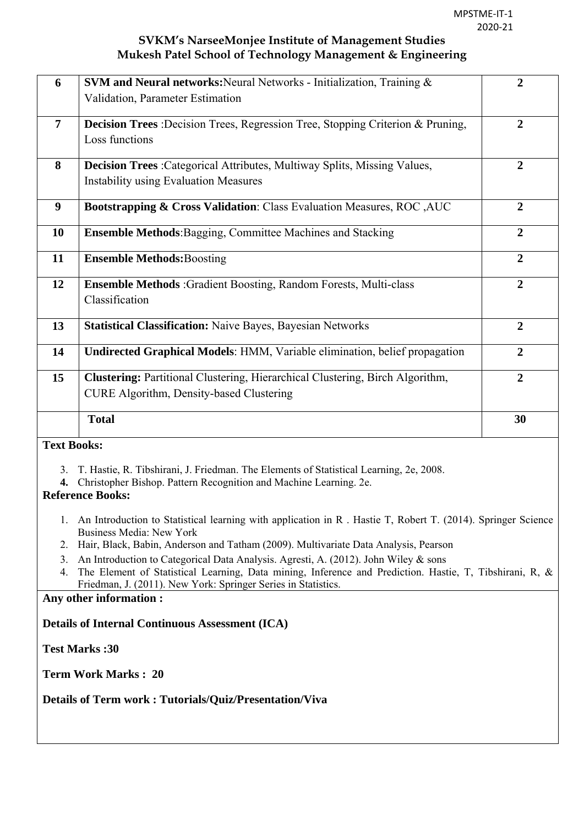| 6                | <b>SVM and Neural networks:</b> Neural Networks - Initialization, Training &           | $\overline{2}$ |
|------------------|----------------------------------------------------------------------------------------|----------------|
|                  | Validation, Parameter Estimation                                                       |                |
|                  |                                                                                        |                |
| $\overline{7}$   | <b>Decision Trees</b> : Decision Trees, Regression Tree, Stopping Criterion & Pruning, | $\overline{2}$ |
|                  | Loss functions                                                                         |                |
| 8                | <b>Decision Trees</b> : Categorical Attributes, Multiway Splits, Missing Values,       | $\overline{2}$ |
|                  | <b>Instability using Evaluation Measures</b>                                           |                |
|                  |                                                                                        |                |
| $\boldsymbol{9}$ | Bootstrapping & Cross Validation: Class Evaluation Measures, ROC, AUC                  | $\overline{2}$ |
|                  |                                                                                        |                |
| 10               | <b>Ensemble Methods:</b> Bagging, Committee Machines and Stacking                      | $\overline{2}$ |
| 11               | <b>Ensemble Methods: Boosting</b>                                                      | $\overline{2}$ |
|                  |                                                                                        |                |
| 12               | <b>Ensemble Methods</b> : Gradient Boosting, Random Forests, Multi-class               | $\overline{2}$ |
|                  | Classification                                                                         |                |
|                  |                                                                                        |                |
| 13               | <b>Statistical Classification: Naive Bayes, Bayesian Networks</b>                      | $\overline{2}$ |
|                  |                                                                                        |                |
| 14               | Undirected Graphical Models: HMM, Variable elimination, belief propagation             | $\overline{2}$ |
| 15               | <b>Clustering:</b> Partitional Clustering, Hierarchical Clustering, Birch Algorithm,   | $\overline{2}$ |
|                  | <b>CURE Algorithm, Density-based Clustering</b>                                        |                |
|                  |                                                                                        |                |
|                  | <b>Total</b>                                                                           | 30             |
|                  |                                                                                        |                |

### **Text Books:**

- 3. T. Hastie, R. Tibshirani, J. Friedman. The Elements of Statistical Learning, 2e, 2008.
- **4.** Christopher Bishop. Pattern Recognition and Machine Learning. 2e.

### **Reference Books:**

- 1. An Introduction to Statistical learning with application in R . Hastie T, Robert T. (2014). Springer Science Business Media: New York
- 2. Hair, Black, Babin, Anderson and Tatham (2009). Multivariate Data Analysis, Pearson
- 3. An Introduction to Categorical Data Analysis. Agresti, A. (2012). John Wiley & sons
- 4. The Element of Statistical Learning, Data mining, Inference and Prediction. Hastie, T, Tibshirani, R, & Friedman, J. (2011). New York: Springer Series in Statistics.

#### **Any other information :**

#### **Details of Internal Continuous Assessment (ICA)**

**Test Marks :30** 

**Term Work Marks : 20** 

### **Details of Term work : Tutorials/Quiz/Presentation/Viva**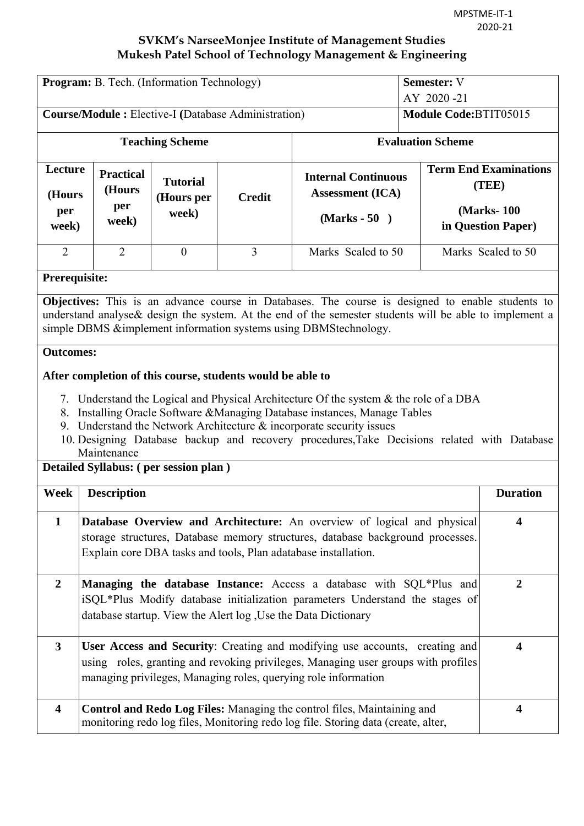| <b>Program:</b> B. Tech. (Information Technology)          |                                                                                                                                                                                                                                         |                                        |                                                            |                                                                                                                                                                                                                                                                                                                                               | <b>Semester: V</b><br>AY 2020-21 |                                                                            |
|------------------------------------------------------------|-----------------------------------------------------------------------------------------------------------------------------------------------------------------------------------------------------------------------------------------|----------------------------------------|------------------------------------------------------------|-----------------------------------------------------------------------------------------------------------------------------------------------------------------------------------------------------------------------------------------------------------------------------------------------------------------------------------------------|----------------------------------|----------------------------------------------------------------------------|
| <b>Course/Module:</b> Elective-I (Database Administration) |                                                                                                                                                                                                                                         |                                        | Module Code: BTIT05015                                     |                                                                                                                                                                                                                                                                                                                                               |                                  |                                                                            |
| <b>Teaching Scheme</b>                                     |                                                                                                                                                                                                                                         |                                        | <b>Evaluation Scheme</b>                                   |                                                                                                                                                                                                                                                                                                                                               |                                  |                                                                            |
| Lecture<br>(Hours<br>per<br>week)                          | <b>Practical</b><br>(Hours<br>per<br>week)                                                                                                                                                                                              | <b>Tutorial</b><br>(Hours per<br>week) | <b>Credit</b>                                              | <b>Internal Continuous</b><br><b>Assessment (ICA)</b><br>$(Marks - 50)$                                                                                                                                                                                                                                                                       |                                  | <b>Term End Examinations</b><br>(TEE)<br>(Marks-100)<br>in Question Paper) |
| $\overline{2}$                                             | $\overline{2}$                                                                                                                                                                                                                          | $\mathbf{0}$                           | 3                                                          | Marks Scaled to 50                                                                                                                                                                                                                                                                                                                            |                                  | Marks Scaled to 50                                                         |
| Prerequisite:                                              |                                                                                                                                                                                                                                         |                                        |                                                            |                                                                                                                                                                                                                                                                                                                                               |                                  |                                                                            |
|                                                            |                                                                                                                                                                                                                                         |                                        |                                                            | Objectives: This is an advance course in Databases. The course is designed to enable students to<br>understand analyse & design the system. At the end of the semester students will be able to implement a<br>simple DBMS &implement information systems using DBMStechnology.                                                               |                                  |                                                                            |
| <b>Outcomes:</b>                                           |                                                                                                                                                                                                                                         |                                        |                                                            |                                                                                                                                                                                                                                                                                                                                               |                                  |                                                                            |
|                                                            |                                                                                                                                                                                                                                         |                                        | After completion of this course, students would be able to | 7. Understand the Logical and Physical Architecture Of the system & the role of a DBA<br>8. Installing Oracle Software & Managing Database instances, Manage Tables<br>9. Understand the Network Architecture $\&$ incorporate security issues<br>10. Designing Database backup and recovery procedures, Take Decisions related with Database |                                  |                                                                            |
|                                                            | Maintenance                                                                                                                                                                                                                             | Detailed Syllabus: (per session plan)  |                                                            |                                                                                                                                                                                                                                                                                                                                               |                                  |                                                                            |
| Week                                                       | <b>Description</b>                                                                                                                                                                                                                      |                                        |                                                            |                                                                                                                                                                                                                                                                                                                                               |                                  | <b>Duration</b>                                                            |
| $\mathbf{1}$                                               | Database Overview and Architecture: An overview of logical and physical<br>4<br>storage structures, Database memory structures, database background processes.<br>Explain core DBA tasks and tools, Plan adatabase installation.        |                                        |                                                            |                                                                                                                                                                                                                                                                                                                                               |                                  |                                                                            |
| $\overline{2}$                                             | Managing the database Instance: Access a database with SQL*Plus and<br>$\overline{2}$<br>iSQL*Plus Modify database initialization parameters Understand the stages of<br>database startup. View the Alert log , Use the Data Dictionary |                                        |                                                            |                                                                                                                                                                                                                                                                                                                                               |                                  |                                                                            |
| $\mathbf{3}$                                               |                                                                                                                                                                                                                                         |                                        |                                                            | User Access and Security: Creating and modifying use accounts, creating and<br>using roles, granting and revoking privileges, Managing user groups with profiles<br>managing privileges, Managing roles, querying role information                                                                                                            |                                  | $\overline{\mathbf{4}}$                                                    |
| $\overline{\mathbf{4}}$                                    |                                                                                                                                                                                                                                         |                                        |                                                            | Control and Redo Log Files: Managing the control files, Maintaining and<br>monitoring redo log files, Monitoring redo log file. Storing data (create, alter,                                                                                                                                                                                  |                                  | $\overline{\mathbf{4}}$                                                    |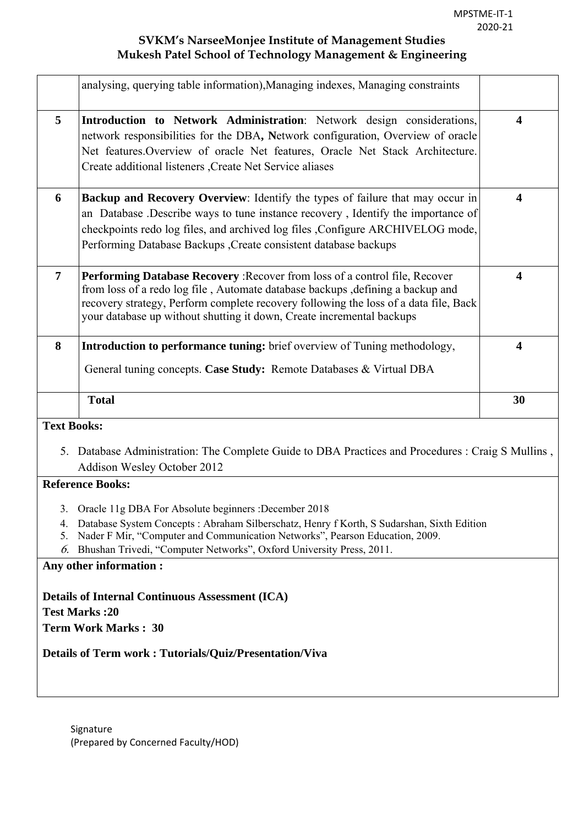|                    | analysing, querying table information), Managing indexes, Managing constraints                                                                                                                                                                                                                                                       |                         |
|--------------------|--------------------------------------------------------------------------------------------------------------------------------------------------------------------------------------------------------------------------------------------------------------------------------------------------------------------------------------|-------------------------|
| 5                  | <b>Introduction to Network Administration</b> : Network design considerations,<br>network responsibilities for the DBA, Network configuration, Overview of oracle<br>Net features. Overview of oracle Net features, Oracle Net Stack Architecture.<br>Create additional listeners , Create Net Service aliases                       | $\overline{\mathbf{4}}$ |
| 6                  | <b>Backup and Recovery Overview:</b> Identify the types of failure that may occur in<br>an Database .Describe ways to tune instance recovery, Identify the importance of<br>checkpoints redo log files, and archived log files , Configure ARCHIVELOG mode,<br>Performing Database Backups , Create consistent database backups      | $\overline{\mathbf{4}}$ |
| $\overline{7}$     | <b>Performing Database Recovery: Recover from loss of a control file, Recover</b><br>from loss of a redo log file, Automate database backups, defining a backup and<br>recovery strategy, Perform complete recovery following the loss of a data file, Back<br>your database up without shutting it down, Create incremental backups | 4                       |
| 8                  | <b>Introduction to performance tuning:</b> brief overview of Tuning methodology,<br>General tuning concepts. Case Study: Remote Databases & Virtual DBA                                                                                                                                                                              | $\overline{\mathbf{4}}$ |
|                    | <b>Total</b>                                                                                                                                                                                                                                                                                                                         | 30                      |
| <b>Text Books:</b> |                                                                                                                                                                                                                                                                                                                                      |                         |
|                    | 5. Database Administration: The Complete Guide to DBA Practices and Procedures : Craig S Mullins,<br><b>Addison Wesley October 2012</b>                                                                                                                                                                                              |                         |
|                    | <b>Reference Books:</b>                                                                                                                                                                                                                                                                                                              |                         |
| 4.<br>5.<br>6.     | 3. Oracle 11g DBA For Absolute beginners : December 2018<br>Database System Concepts: Abraham Silberschatz, Henry f Korth, S Sudarshan, Sixth Edition<br>Nader F Mir, "Computer and Communication Networks", Pearson Education, 2009.<br>Bhushan Trivedi, "Computer Networks", Oxford University Press, 2011.                        |                         |
|                    | Any other information:<br><b>Details of Internal Continuous Assessment (ICA)</b><br><b>Test Marks:20</b>                                                                                                                                                                                                                             |                         |
|                    | <b>Term Work Marks: 30</b><br><b>Details of Term work: Tutorials/Quiz/Presentation/Viva</b>                                                                                                                                                                                                                                          |                         |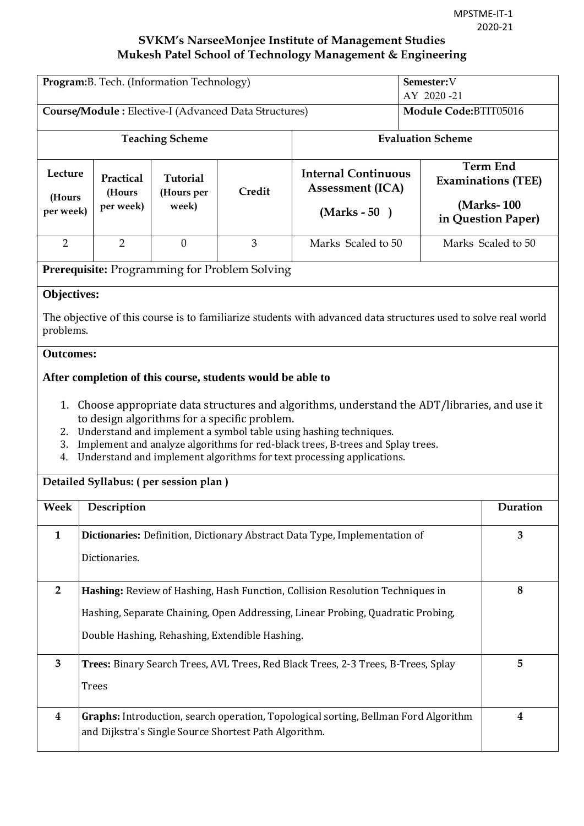| Program: B. Tech. (Information Technology)                                                                       |                                       |                                 |                                                                                                            |                                                                                                                                                                                                                                                                                                                                   | Semester:V<br>AY 2020-21 |                                                                                  |
|------------------------------------------------------------------------------------------------------------------|---------------------------------------|---------------------------------|------------------------------------------------------------------------------------------------------------|-----------------------------------------------------------------------------------------------------------------------------------------------------------------------------------------------------------------------------------------------------------------------------------------------------------------------------------|--------------------------|----------------------------------------------------------------------------------|
| Course/Module: Elective-I (Advanced Data Structures)                                                             |                                       |                                 | Module Code:BTIT05016                                                                                      |                                                                                                                                                                                                                                                                                                                                   |                          |                                                                                  |
| <b>Teaching Scheme</b>                                                                                           |                                       |                                 | <b>Evaluation Scheme</b>                                                                                   |                                                                                                                                                                                                                                                                                                                                   |                          |                                                                                  |
| Lecture<br>(Hours<br>per week)                                                                                   | Practical<br>(Hours<br>per week)      | Tutorial<br>(Hours per<br>week) | Credit                                                                                                     | <b>Internal Continuous</b><br><b>Assessment (ICA)</b><br>$(Marks - 50)$                                                                                                                                                                                                                                                           |                          | <b>Term End</b><br><b>Examinations (TEE)</b><br>(Marks-100<br>in Question Paper) |
| $\overline{2}$                                                                                                   | $\overline{2}$                        | $\overline{0}$                  | 3                                                                                                          | Marks Scaled to 50                                                                                                                                                                                                                                                                                                                |                          | Marks Scaled to 50                                                               |
|                                                                                                                  |                                       |                                 | Prerequisite: Programming for Problem Solving                                                              |                                                                                                                                                                                                                                                                                                                                   |                          |                                                                                  |
| <b>Objectives:</b><br>problems.                                                                                  |                                       |                                 |                                                                                                            | The objective of this course is to familiarize students with advanced data structures used to solve real world                                                                                                                                                                                                                    |                          |                                                                                  |
| <b>Outcomes:</b>                                                                                                 |                                       |                                 |                                                                                                            |                                                                                                                                                                                                                                                                                                                                   |                          |                                                                                  |
| 3.<br>4.                                                                                                         |                                       |                                 | After completion of this course, students would be able to<br>to design algorithms for a specific problem. | 1. Choose appropriate data structures and algorithms, understand the ADT/libraries, and use it<br>2. Understand and implement a symbol table using hashing techniques.<br>Implement and analyze algorithms for red-black trees, B-trees and Splay trees.<br>Understand and implement algorithms for text processing applications. |                          |                                                                                  |
|                                                                                                                  | Detailed Syllabus: (per session plan) |                                 |                                                                                                            |                                                                                                                                                                                                                                                                                                                                   |                          |                                                                                  |
| Week                                                                                                             | Description                           |                                 |                                                                                                            |                                                                                                                                                                                                                                                                                                                                   |                          | Duration                                                                         |
| Dictionaries: Definition, Dictionary Abstract Data Type, Implementation of<br>3<br>$\mathbf{1}$<br>Dictionaries. |                                       |                                 |                                                                                                            |                                                                                                                                                                                                                                                                                                                                   |                          |                                                                                  |
| $\overline{2}$                                                                                                   |                                       |                                 |                                                                                                            | Hashing: Review of Hashing, Hash Function, Collision Resolution Techniques in                                                                                                                                                                                                                                                     |                          | 8                                                                                |
|                                                                                                                  |                                       |                                 |                                                                                                            | Hashing, Separate Chaining, Open Addressing, Linear Probing, Quadratic Probing,                                                                                                                                                                                                                                                   |                          |                                                                                  |
|                                                                                                                  |                                       |                                 | Double Hashing, Rehashing, Extendible Hashing.                                                             |                                                                                                                                                                                                                                                                                                                                   |                          |                                                                                  |
| Trees: Binary Search Trees, AVL Trees, Red Black Trees, 2-3 Trees, B-Trees, Splay<br>3<br><b>Trees</b>           |                                       |                                 |                                                                                                            |                                                                                                                                                                                                                                                                                                                                   |                          | 5                                                                                |
| 4                                                                                                                |                                       |                                 | and Dijkstra's Single Source Shortest Path Algorithm.                                                      | Graphs: Introduction, search operation, Topological sorting, Bellman Ford Algorithm                                                                                                                                                                                                                                               |                          | 4                                                                                |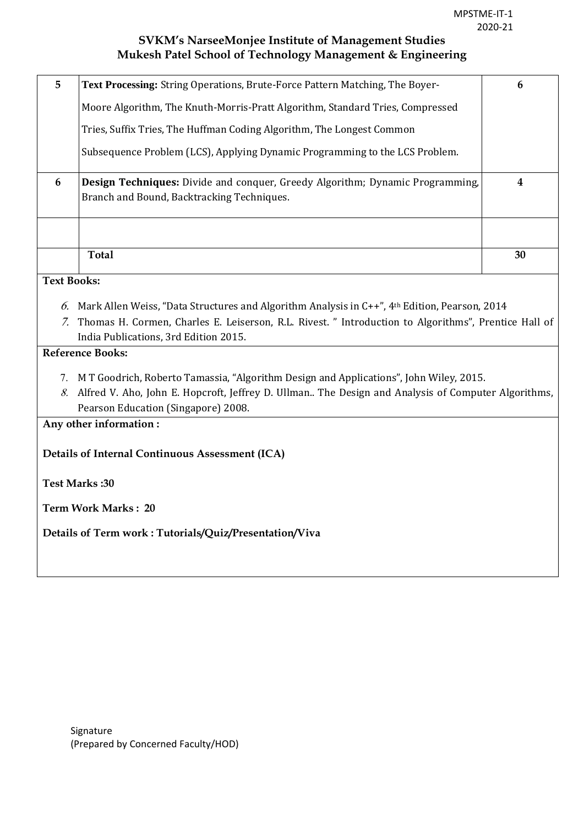| 5                                                      | Text Processing: String Operations, Brute-Force Pattern Matching, The Boyer-                                                | 6                       |  |  |  |  |
|--------------------------------------------------------|-----------------------------------------------------------------------------------------------------------------------------|-------------------------|--|--|--|--|
|                                                        | Moore Algorithm, The Knuth-Morris-Pratt Algorithm, Standard Tries, Compressed                                               |                         |  |  |  |  |
|                                                        | Tries, Suffix Tries, The Huffman Coding Algorithm, The Longest Common                                                       |                         |  |  |  |  |
|                                                        | Subsequence Problem (LCS), Applying Dynamic Programming to the LCS Problem.                                                 |                         |  |  |  |  |
| 6                                                      | Design Techniques: Divide and conquer, Greedy Algorithm; Dynamic Programming,<br>Branch and Bound, Backtracking Techniques. | $\overline{\mathbf{4}}$ |  |  |  |  |
|                                                        |                                                                                                                             |                         |  |  |  |  |
|                                                        | <b>Total</b>                                                                                                                | 30                      |  |  |  |  |
| <b>Text Books:</b>                                     |                                                                                                                             |                         |  |  |  |  |
|                                                        |                                                                                                                             |                         |  |  |  |  |
|                                                        | 6. Mark Allen Weiss, "Data Structures and Algorithm Analysis in $C++$ ", 4th Edition, Pearson, 2014                         |                         |  |  |  |  |
|                                                        | 7. Thomas H. Cormen, Charles E. Leiserson, R.L. Rivest. " Introduction to Algorithms", Prentice Hall of                     |                         |  |  |  |  |
|                                                        | India Publications, 3rd Edition 2015.                                                                                       |                         |  |  |  |  |
|                                                        | <b>Reference Books:</b>                                                                                                     |                         |  |  |  |  |
|                                                        |                                                                                                                             |                         |  |  |  |  |
|                                                        | 7. M T Goodrich, Roberto Tamassia, "Algorithm Design and Applications", John Wiley, 2015.                                   |                         |  |  |  |  |
| 8.                                                     | Alfred V. Aho, John E. Hopcroft, Jeffrey D. Ullman The Design and Analysis of Computer Algorithms,                          |                         |  |  |  |  |
| Pearson Education (Singapore) 2008.                    |                                                                                                                             |                         |  |  |  |  |
| Any other information:                                 |                                                                                                                             |                         |  |  |  |  |
| Details of Internal Continuous Assessment (ICA)        |                                                                                                                             |                         |  |  |  |  |
| <b>Test Marks:30</b>                                   |                                                                                                                             |                         |  |  |  |  |
| <b>Term Work Marks: 20</b>                             |                                                                                                                             |                         |  |  |  |  |
| Details of Term work: Tutorials/Quiz/Presentation/Viva |                                                                                                                             |                         |  |  |  |  |
|                                                        |                                                                                                                             |                         |  |  |  |  |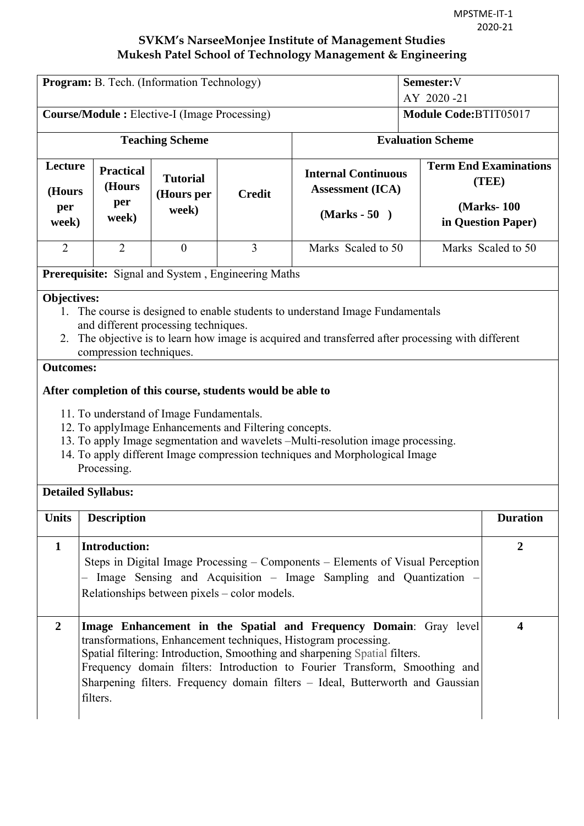|                                                                                                                                                                                                                                                                                                                  | Program: B. Tech. (Information Technology)                                                                                                                                                                                                                                                                                                                                                    | Semester: V<br>AY 2020-21              |                                                            |                                                                         |                         |                                                                            |  |  |
|------------------------------------------------------------------------------------------------------------------------------------------------------------------------------------------------------------------------------------------------------------------------------------------------------------------|-----------------------------------------------------------------------------------------------------------------------------------------------------------------------------------------------------------------------------------------------------------------------------------------------------------------------------------------------------------------------------------------------|----------------------------------------|------------------------------------------------------------|-------------------------------------------------------------------------|-------------------------|----------------------------------------------------------------------------|--|--|
| <b>Course/Module :</b> Elective-I (Image Processing)                                                                                                                                                                                                                                                             |                                                                                                                                                                                                                                                                                                                                                                                               |                                        |                                                            |                                                                         | Module Code:BTIT05017   |                                                                            |  |  |
| <b>Teaching Scheme</b>                                                                                                                                                                                                                                                                                           |                                                                                                                                                                                                                                                                                                                                                                                               |                                        | <b>Evaluation Scheme</b>                                   |                                                                         |                         |                                                                            |  |  |
| Lecture<br>(Hours<br>per<br>week)                                                                                                                                                                                                                                                                                | <b>Practical</b><br>(Hours<br>per<br>week)                                                                                                                                                                                                                                                                                                                                                    | <b>Tutorial</b><br>(Hours per<br>week) | <b>Credit</b>                                              | <b>Internal Continuous</b><br><b>Assessment (ICA)</b><br>$(Marks - 50)$ |                         | <b>Term End Examinations</b><br>(TEE)<br>(Marks-100)<br>in Question Paper) |  |  |
| $\overline{2}$                                                                                                                                                                                                                                                                                                   | $\overline{2}$                                                                                                                                                                                                                                                                                                                                                                                | $\mathbf{0}$                           | $\overline{3}$                                             | Marks Scaled to 50                                                      |                         | Marks Scaled to 50                                                         |  |  |
|                                                                                                                                                                                                                                                                                                                  | <b>Prerequisite:</b> Signal and System, Engineering Maths                                                                                                                                                                                                                                                                                                                                     |                                        |                                                            |                                                                         |                         |                                                                            |  |  |
| <b>Objectives:</b><br>The course is designed to enable students to understand Image Fundamentals<br>$\mathbf{1}$<br>and different processing techniques.<br>The objective is to learn how image is acquired and transferred after processing with different<br>2.<br>compression techniques.<br><b>Outcomes:</b> |                                                                                                                                                                                                                                                                                                                                                                                               |                                        |                                                            |                                                                         |                         |                                                                            |  |  |
|                                                                                                                                                                                                                                                                                                                  |                                                                                                                                                                                                                                                                                                                                                                                               |                                        | After completion of this course, students would be able to |                                                                         |                         |                                                                            |  |  |
| 11. To understand of Image Fundamentals.<br>12. To applyImage Enhancements and Filtering concepts.<br>13. To apply Image segmentation and wavelets -Multi-resolution image processing.<br>14. To apply different Image compression techniques and Morphological Image<br>Processing.                             |                                                                                                                                                                                                                                                                                                                                                                                               |                                        |                                                            |                                                                         |                         |                                                                            |  |  |
| <b>Detailed Syllabus:</b>                                                                                                                                                                                                                                                                                        |                                                                                                                                                                                                                                                                                                                                                                                               |                                        |                                                            |                                                                         |                         |                                                                            |  |  |
| <b>Units</b>                                                                                                                                                                                                                                                                                                     | <b>Description</b>                                                                                                                                                                                                                                                                                                                                                                            |                                        |                                                            |                                                                         |                         | <b>Duration</b>                                                            |  |  |
| 1                                                                                                                                                                                                                                                                                                                | Introduction:<br>$\overline{2}$<br>Steps in Digital Image Processing – Components – Elements of Visual Perception<br>- Image Sensing and Acquisition - Image Sampling and Quantization -<br>Relationships between pixels – color models.                                                                                                                                                      |                                        |                                                            |                                                                         |                         |                                                                            |  |  |
| $\overline{2}$                                                                                                                                                                                                                                                                                                   | Image Enhancement in the Spatial and Frequency Domain: Gray level<br>transformations, Enhancement techniques, Histogram processing.<br>Spatial filtering: Introduction, Smoothing and sharpening Spatial filters.<br>Frequency domain filters: Introduction to Fourier Transform, Smoothing and<br>Sharpening filters. Frequency domain filters - Ideal, Butterworth and Gaussian<br>filters. |                                        |                                                            |                                                                         | $\overline{\mathbf{4}}$ |                                                                            |  |  |